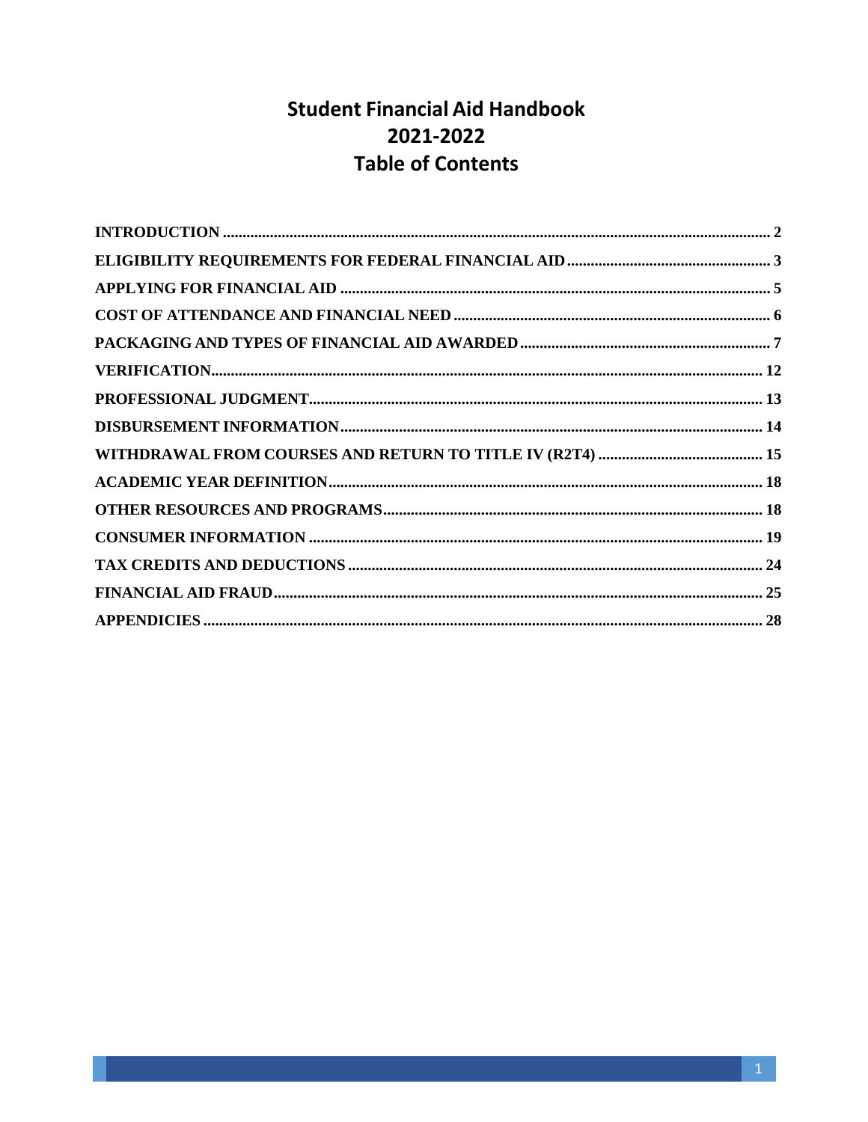# **Student Financial Aid Handbook** 2021-2022 **Table of Contents**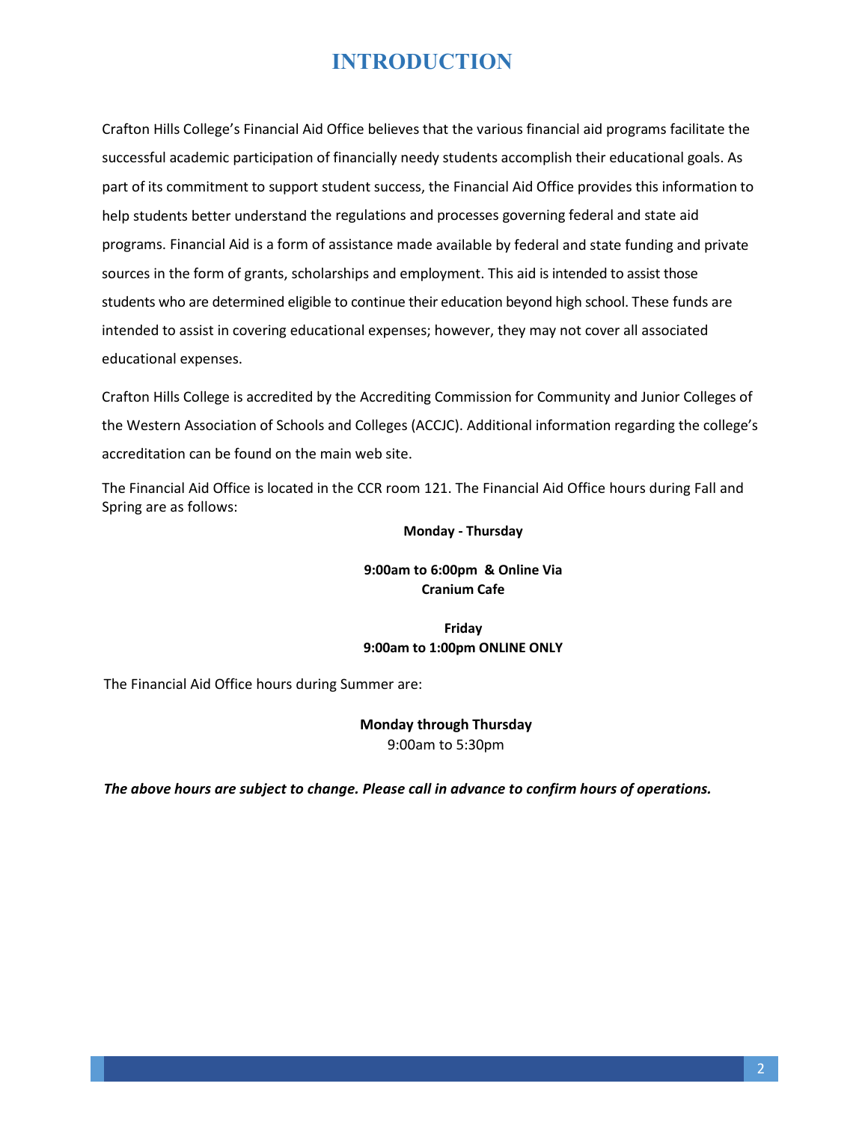# **INTRODUCTION**

<span id="page-1-0"></span>Crafton Hills College's Financial Aid Office believes that the various financial aid programs facilitate the successful academic participation of financially needy students accomplish their educational goals. As part of its commitment to support student success, the Financial Aid Office provides this information to help students better understand the regulations and processes governing federal and state aid programs. Financial Aid is a form of assistance made available by federal and state funding and private sources in the form of grants, scholarships and employment. This aid is intended to assist those students who are determined eligible to continue their education beyond high school. These funds are intended to assist in covering educational expenses; however, they may not cover all associated educational expenses.

Crafton Hills College is accredited by the Accrediting Commission for Community and Junior Colleges of the Western Association of Schools and Colleges (ACCJC). Additional information regarding the college's accreditation can be found on the main web site.

The Financial Aid Office is located in the CCR room 121. The Financial Aid Office hours during Fall and Spring are as follows:

#### **Monday - Thursday**

## **9:00am to 6:00pm & Online Via Cranium Cafe**

### **Friday 9:00am to 1:00pm ONLINE ONLY**

The Financial Aid Office hours during Summer are:

## **Monday through Thursday**  9:00am to 5:30pm

*The above hours are subject to change. Please call in advance to confirm hours of operations.*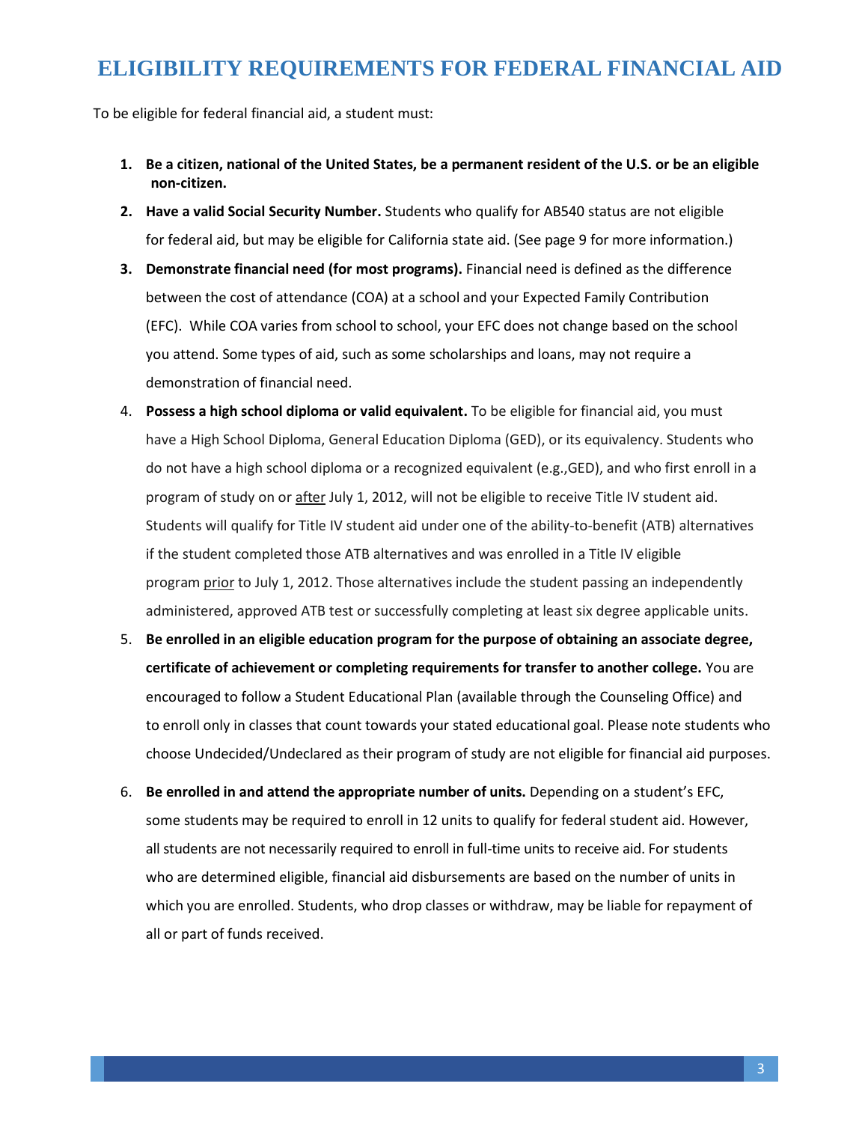# **ELIGIBILITY REQUIREMENTS FOR FEDERAL FINANCIAL AID**

<span id="page-2-0"></span>To be eligible for federal financial aid, a student must:

- **1. Be a citizen, national of the United States, be a permanent resident of the U.S. or be an eligible non-citizen.**
- **2. Have a valid Social Security Number.** Students who qualify for AB540 status are not eligible for federal aid, but may be eligible for California state aid. (See page 9 for more information.)
- **3. Demonstrate financial need (for most programs).** Financial need is defined as the difference between the cost of attendance (COA) at a school and your Expected Family Contribution (EFC). While COA varies from school to school, your EFC does not change based on the school you attend. Some types of aid, such as some scholarships and loans, may not require a demonstration of financial need.
- 4. **Possess a high school diploma or valid equivalent.** To be eligible for financial aid, you must have a High School Diploma, General Education Diploma (GED), or its equivalency. Students who do not have a high school diploma or a recognized equivalent (e.g.,GED), and who first enroll in a program of study on or after July 1, 2012, will not be eligible to receive Title IV student aid. Students will qualify for Title IV student aid under one of the ability-to-benefit (ATB) alternatives if the student completed those ATB alternatives and was enrolled in a Title IV eligible program prior to July 1, 2012. Those alternatives include the student passing an independently administered, approved ATB test or successfully completing at least six degree applicable units.
- 5. **Be enrolled in an eligible education program for the purpose of obtaining an associate degree, certificate of achievement or completing requirements for transfer to another college.** You are encouraged to follow a Student Educational Plan (available through the Counseling Office) and to enroll only in classes that count towards your stated educational goal. Please note students who choose Undecided/Undeclared as their program of study are not eligible for financial aid purposes.
- 6. **Be enrolled in and attend the appropriate number of units.** Depending on a student's EFC, some students may be required to enroll in 12 units to qualify for federal student aid. However, all students are not necessarily required to enroll in full-time units to receive aid. For students who are determined eligible, financial aid disbursements are based on the number of units in which you are enrolled. Students, who drop classes or withdraw, may be liable for repayment of all or part of funds received.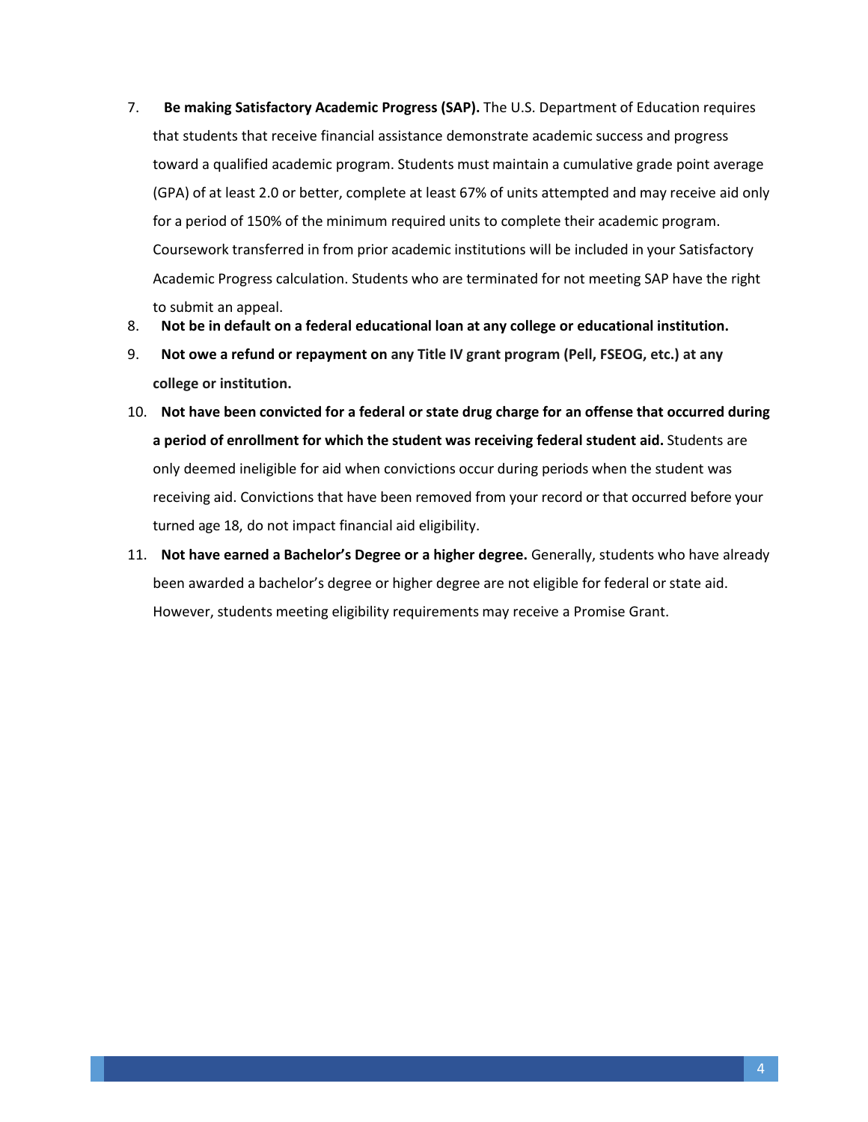- 7. **Be making Satisfactory Academic Progress (SAP).** The U.S. Department of Education requires that students that receive financial assistance demonstrate academic success and progress toward a qualified academic program. Students must maintain a cumulative grade point average (GPA) of at least 2.0 or better, complete at least 67% of units attempted and may receive aid only for a period of 150% of the minimum required units to complete their academic program. Coursework transferred in from prior academic institutions will be included in your Satisfactory Academic Progress calculation. Students who are terminated for not meeting SAP have the right to submit an appeal.
- 8. **Not be in default on a federal educational loan at any college or educational institution.**
- 9. **Not owe a refund or repayment on any Title IV grant program (Pell, FSEOG, etc.) at any college or institution.**
- 10. **Not have been convicted for a federal or state drug charge [for an offense](http://www.sss.gov/) that occurred during a period of enrollment for which the student was receiving federal student aid.** Students are only deemed ineligible for aid when convictions occur during periods when the student was receiving aid. Convictions that have been removed from your record or that occurred before your turned age 18, do not impact financial aid eligibility.
- 11. **Not have earned a Bachelor's Degree or a higher degree.** Generally, students who have already been awarded a bachelor's degree or higher degree are not eligible for federal or state aid. However, students meeting eligibility requirements may receive a Promise Grant.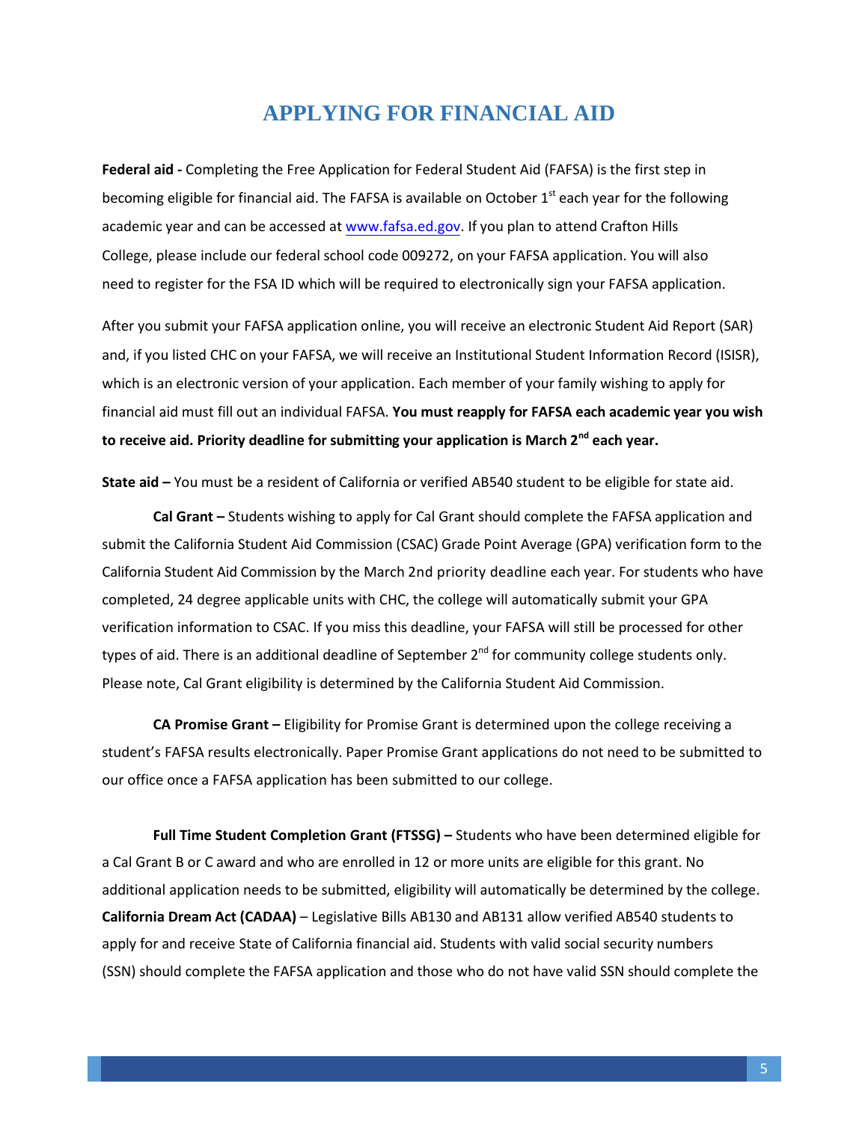# **APPLYING FOR FINANCIAL AID**

<span id="page-4-0"></span>**Federal aid -** Completing the Free Application for Federal Student Aid (FAFSA) is the first step in becoming eligible for financial aid. The FAFSA is available on October  $1<sup>st</sup>$  each year for the following academic year and can be accessed a[t www.fafsa.ed.gov.](http://www.fafsa.ed.gov/) If you plan to attend Crafton Hills College, please include our federal school code 009272, on your FAFSA application. You will also need to register for the FSA ID which will be required to electronically sign your FAFSA application.

After you submit your FAFSA application online, you will receive an electronic Student Aid Report (SAR) and, if you listed CHC on your FAFSA, we will receive an Institutional Student Information Record (ISISR), which is an electronic version of your application. Each member of your family wishing to apply for financial aid must fill out an individual FAFSA. **You must reapply for FAFSA each academic year you wish to receive aid. Priority deadline for submitting your application is March 2 nd each year.**

**State aid –** You must be a resident of California or verified AB540 student to be eligible for state aid.

**Cal Grant –** Students wishing to apply for Cal Grant should complete the FAFSA application and submit the California Student Aid Commission (CSAC) Grade Point Average (GPA) verification form to the California Student Aid Commission by the March 2nd priority deadline each year. For students who have completed, 24 degree applicable units with CHC, the college will automatically submit your GPA verification information to CSAC. If you miss this deadline, your FAFSA will still be processed for other types of aid. There is an additional deadline of September 2<sup>nd</sup> for community college students only. Please note, Cal Grant eligibility is determined by the California Student Aid Commission.

**CA Promise Grant –** Eligibility for Promise Grant is determined upon the college receiving a student's FAFSA results electronically. Paper Promise Grant applications do not need to be submitted to our office once a FAFSA application has been submitted to our college.

**Full Time Student Completion Grant (FTSSG) –** Students who have been determined eligible for a Cal Grant B or C award and who are enrolled in 12 or more units are eligible for this grant. No additional application needs to be submitted, eligibility will automatically be determined by the college. **California Dream Act (CADAA)** – Legislative Bills AB130 and AB131 allow verified AB540 students to apply for and receive State of California financial aid. Students with valid social security numbers (SSN) should complete the FAFSA application and those who do not have valid SSN should complete the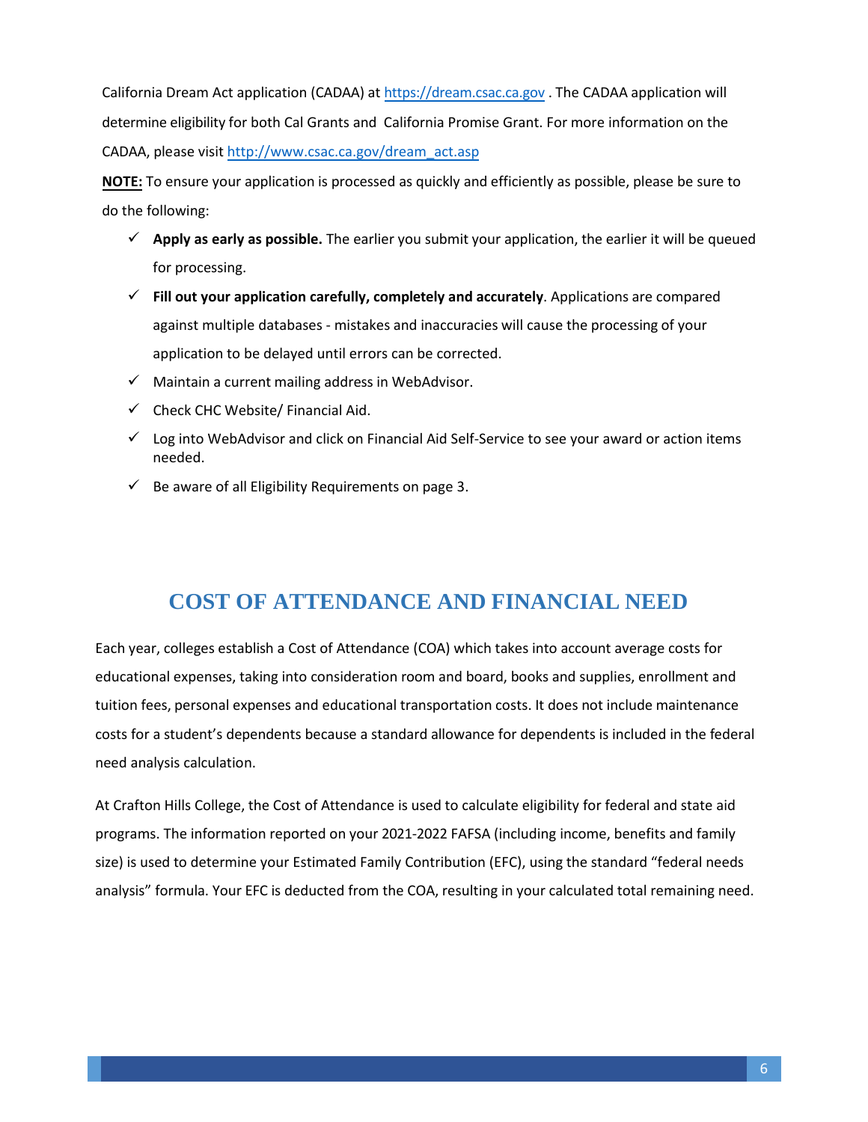California Dream Act application (CADAA) at [https://dream.csac.ca.gov](https://dream.csac.ca.gov/) . The CADAA application will determine eligibility for both Cal Grants and California Promise Grant. For more information on the CADAA, please visit [http://www.csac.ca.gov/dream\\_ac](http://www.csac.ca.gov/dream_act.asp)t.asp

**NOTE:** To ensure your application is processed as quickly and efficiently as possible, please be sure to do the following:

- **Apply as early as possible.** The earlier you submit your application, the earlier it will be queued for processing.
- **Fill out your application carefully, completely and accurately**. Applications are compared against multiple databases - mistakes and inaccuracies will cause the processing of your application to be delayed until errors can be corrected.
- $\checkmark$  Maintain a current mailing address in WebAdvisor.
- $\checkmark$  Check CHC Website/ Financial Aid.
- $\checkmark$  Log into WebAdvisor and click on Financial Aid Self-Service to see your award or action items needed.
- $\checkmark$  Be aware of all Eligibility Requirements on page 3.

# **COST OF ATTENDANCE AND FINANCIAL NEED**

<span id="page-5-0"></span>Each year, colleges establish a Cost of Attendance (COA) which takes into account average costs for educational expenses, taking into consideration room and board, books and supplies, enrollment and tuition fees, personal expenses and educational transportation costs. It does not include maintenance costs for a student's dependents because a standard allowance for dependents is included in the federal need analysis calculation.

At Crafton Hills College, the Cost of Attendance is used to calculate eligibility for federal and state aid programs. The information reported on your 2021-2022 FAFSA (including income, benefits and family size) is used to determine your Estimated Family Contribution (EFC), using the standard "federal needs analysis" formula. Your EFC is deducted from the COA, resulting in your calculated total remaining need.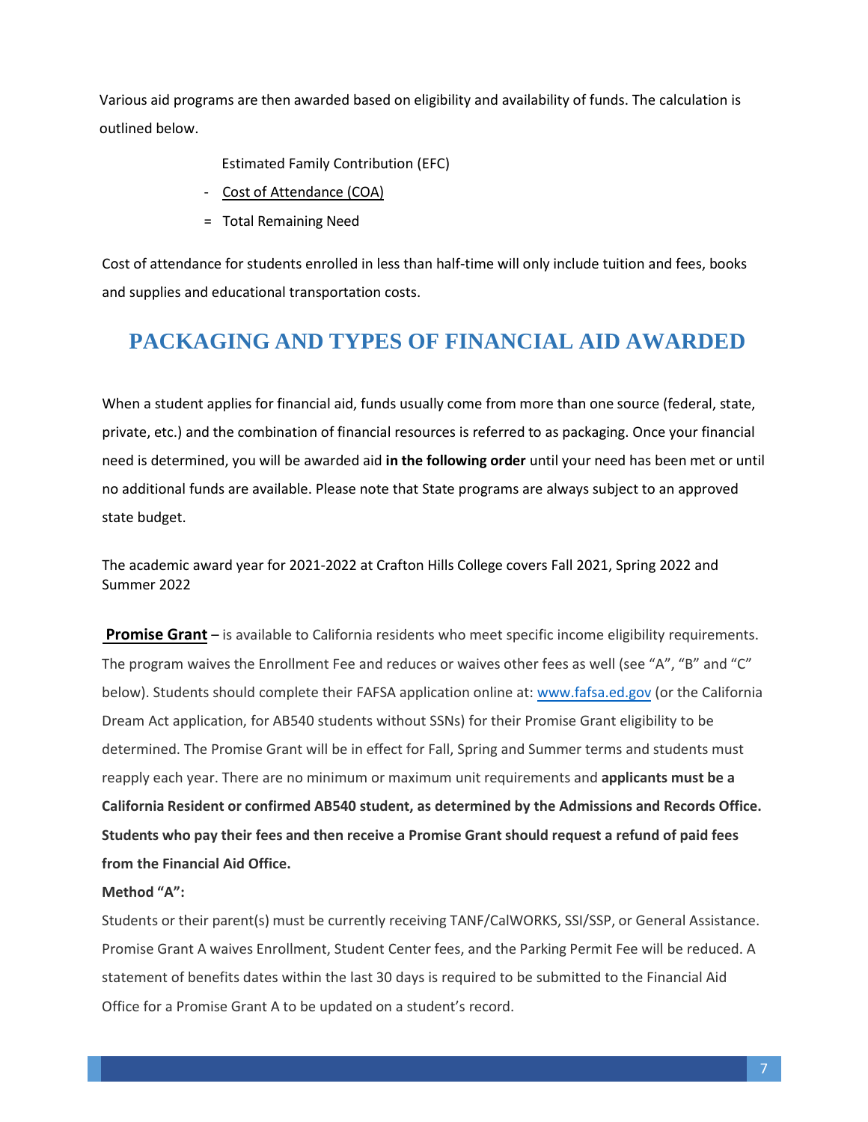Various aid programs are then awarded based on eligibility and availability of funds. The calculation is outlined below.

Estimated Family Contribution (EFC)

- Cost of Attendance (COA)
- = Total Remaining Need

Cost of attendance for students enrolled in less than half-time will only include tuition and fees, books and supplies and educational transportation costs.

# <span id="page-6-0"></span>**PACKAGING AND TYPES OF FINANCIAL AID AWARDED**

When a student applies for financial aid, funds usually come from more than one source (federal, state, private, etc.) and the combination of financial resources is referred to as packaging. Once your financial need is determined, you will be awarded aid **in the following order** until your need has been met or until no additional funds are available. Please note that State programs are always subject to an approved state budget.

The academic award year for 2021-2022 at Crafton Hills College covers Fall 2021, Spring 2022 and Summer 2022

**Promise Grant** – is available to California resi[dents who meet specific](http://www.cccapply.org/bog_waiver/) income eligibility requirements. The program waives the Enrollment Fee and reduces or waives other fees as well (see "A", "B" and "C" below). Students should complete their FAFSA application online at: www.fafsa.ed.gov (or the California Dream Act application, for AB540 students without SSNs) [for their](http://www.fafsa.ed.gov/) Promise Grant eligibility to be determined. The Promise Grant will be in effect for Fall, Spring and Summer terms and students must reapply each year. There are no minimum or maximum unit requirements and **applicants must be a California Resident or confirmed AB540 student, as determined by the Admissions and Records Office. Students who pay their fees and then receive a Promise Grant should request a refund of paid fees from the Financial Aid Office.**

## **Method "A":**

Students or their parent(s) must be currently receiving TANF/CalWORKS, SSI/SSP, or General Assistance. Promise Grant A waives Enrollment, Student Center fees, and the Parking Permit Fee will be reduced. A statement of benefits dates within the last 30 days is required to be submitted to the Financial Aid Office for a Promise Grant A to be updated on a student's record.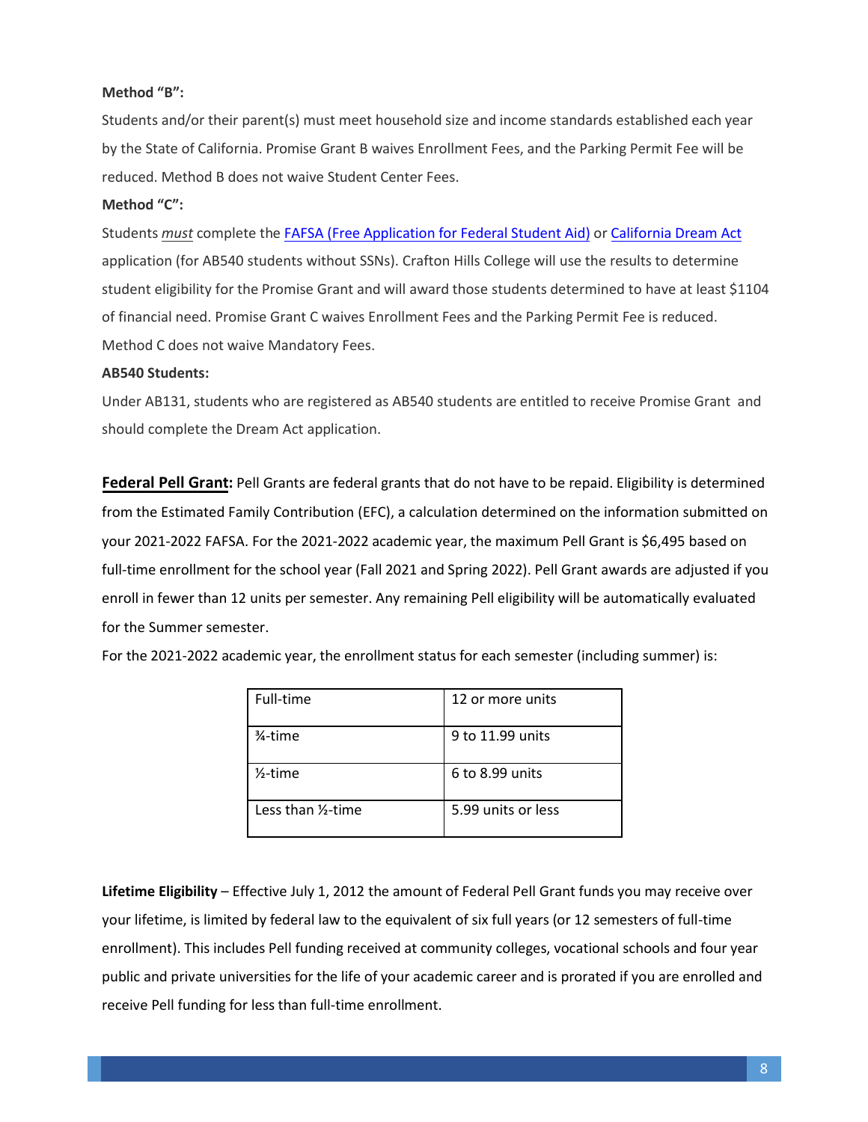#### **Method "B":**

Students and/or their parent(s) must meet household size and income standards established each year by the State of California. Promise Grant B waives Enrollment Fees, and the Parking Permit Fee will be reduced. Method B does not waive Student Center Fees.

### **Method "C":**

Students *must* complete the FAFSA (Free [Application for Federal Student Aid\)](http://www.fafsa.ed.gov/) or California [Dream Act](https://dream.csac.ca.gov/) application (for AB540 students without SSNs). Crafton Hills College will use the results to determine student eligibility for the Promise Grant and will award those students determined to have at least \$1104 of financial need. Promise Grant C waives Enrollment Fees and the Parking Permit Fee is reduced. Method C does not waive Mandatory Fees.

#### **AB540 Students:**

Under AB131, students who are registered as AB540 students are entitled to receive Promise Grant and should complete the Dream Act application.

**Federal Pell Grant:** Pell Grants are federal grants that do not have to be repaid. Eligibility is determined from the Estimated Family Contribution (EFC), a calculation determined on the information submitted on your 2021-2022 FAFSA. For the 2021-2022 academic year, the maximum Pell Grant is \$6,495 based on full-time enrollment for the school year (Fall 2021 and Spring 2022). Pell Grant awards are adjusted if you enroll in fewer than 12 units per semester. Any remaining Pell eligibility will be automatically evaluated for the Summer semester.

For the 2021-2022 academic year, the enrollment status for each semester (including summer) is:

| Full-time          | 12 or more units   |
|--------------------|--------------------|
| 3⁄4-time           | 9 to 11.99 units   |
| $2$ -time          | 6 to 8.99 units    |
| Less than 1/2-time | 5.99 units or less |

**Lifetime Eligibility** – Effective July 1, 2012 the amount of Federal Pell Grant funds you may receive over your lifetime, is limited by federal law to the equivalent of six full years (or 12 semesters of full-time enrollment). This includes Pell funding received at community colleges, vocational schools and four year public and private universities for the life of your academic career and is prorated if you are enrolled and receive Pell funding for less than full-time enrollment.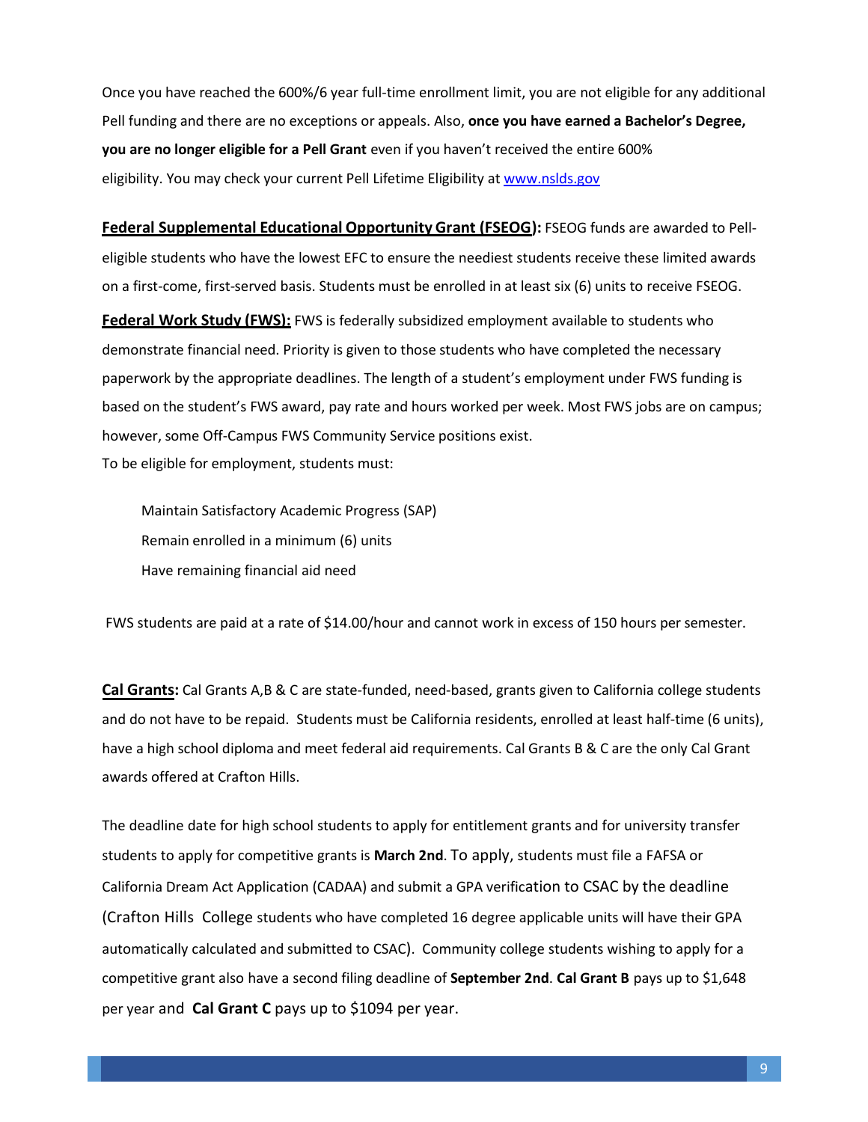Once you have reached the 600%/6 year full-time enrollment limit, you are not eligible for any additional Pell funding and there are no exceptions or appeals. Also, **once you have earned a Bachelor's Degree, you are no longer eligible for a Pell Grant** even if you haven't received the entire 600% eligibility. You may check your current Pell Lifetime Eligibility a[t www.nslds.gov](http://www.nslds.gov/)

**Federal Supplemental Educational Opportunity Grant (FSEOG):** FSEOG funds are awarded to Pelleligible students who have the lowest EFC to ensure the neediest students receive these limited awards on a first-come, first-served basis. Students must be enrolled in at least six (6) units to receive FSEOG.

**Federal Work Study (FWS):** FWS is federally subsidized employment available to students who demonstrate financial need. Priority is given to those students who have completed the necessary paperwork by the appropriate deadlines. The length of a student's employment under FWS funding is based on the student's FWS award, pay rate and hours worked per week. Most FWS jobs are on campus; however, some Off-Campus FWS Community Service positions exist. To be eligible for employment, students must:

Maintain Satisfactory Academic Progress (SAP) Remain enrolled in a minimum (6) units Have remaining financial aid need

FWS students are paid at a rate of \$14.00/hour and cannot work in excess of 150 hours per semester.

**Cal Grants:** Cal Grants A,B & C are state-funded, need-based, grants given to California college students and do not have to be repaid. Students must be California residents, enrolled at least half-time (6 units), have a high school diploma and meet federal aid requirements. Cal Grants B & C are the only Cal Grant awards offered at Crafton Hills.

The deadline date for high school students to apply for entitlement grants and for university transfer students to apply for competitive grants is **March 2nd**. To apply, students must file a FAFSA or California Dream Act Application (CADAA) and submit a GPA verification to CSAC by the deadline (Crafton Hills College students who have completed 16 degree applicable units will have their GPA automatically calculated and submitted to CSAC). Community college students wishing to apply for a competitive grant also have a second filing deadline of **September 2nd**. **Cal Grant B** pays up to \$1,648 per year and **Cal Grant C** pays up to \$1094 per year.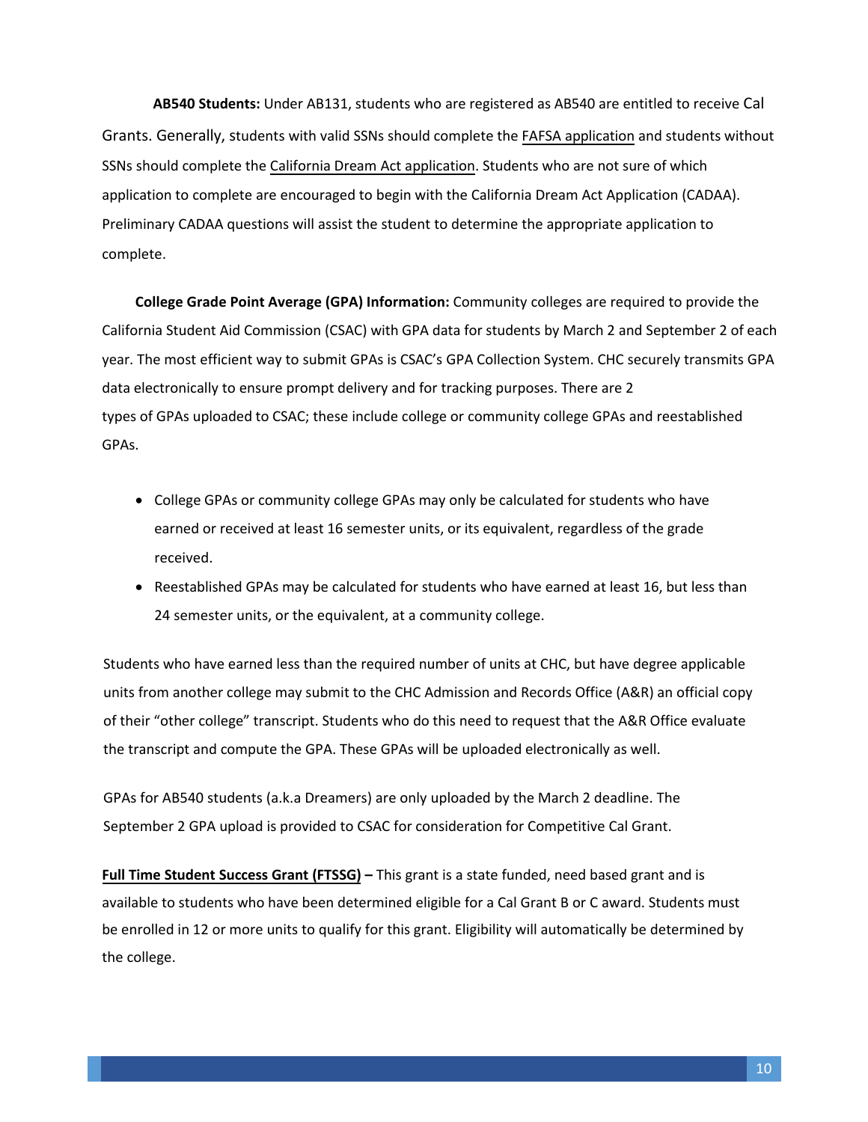**AB540 Students:** Under AB131, students who are registered as AB540 are entitled to receive Cal Grants. Generally, students with valid SSNs should complete the FAFSA application and students without SSNs should complete the California Dream Act application. Stud[ents who are not sur](http://www.fafsa.ed.gov/)e of which application to complete a[re encouraged to begin with](https://dream.csac.ca.gov/) the California Dream Act Application (CADAA). Preliminary CADAA questions will assist the student to determine the appropriate application to complete.

**College Grade Point Average (GPA) Information:** Community colleges are required to provide the California Student Aid Commission (CSAC) with GPA data for students by March 2 and September 2 of each year. The most efficient way to submit GPAs is CSAC's GPA Collection System. CHC securely transmits GPA data electronically to ensure prompt delivery and for tracking purposes. There are 2 types of GPAs uploaded to CSAC; these include college or community college GPAs and reestablished GPAs.

- College GPAs or community college GPAs may only be calculated for students who have earned or received at least 16 semester units, or its equivalent, regardless of the grade received.
- Reestablished GPAs may be calculated for students who have earned at least 16, but less than 24 semester units, or the equivalent, at a community college.

Students who have earned less than the required number of units at CHC, but have degree applicable units from another college may submit to the CHC Admission and Records Office (A&R) an official copy of their "other college" transcript. Students who do this need to request that the A&R Office evaluate the transcript and compute the GPA. These GPAs will be uploaded electronically as well.

GPAs for AB540 students (a.k.a Dreamers) are only uploaded by the March 2 deadline. The September 2 GPA upload is provided to CSAC for consideration for Competitive Cal Grant.

**Full Time Student Success Grant (FTSSG) –** This grant is a state funded, need based grant and is available to students who have been determined eligible for a Cal Grant B or C award. Students must be enrolled in 12 or more units to qualify for this grant. Eligibility will automatically be determined by the college.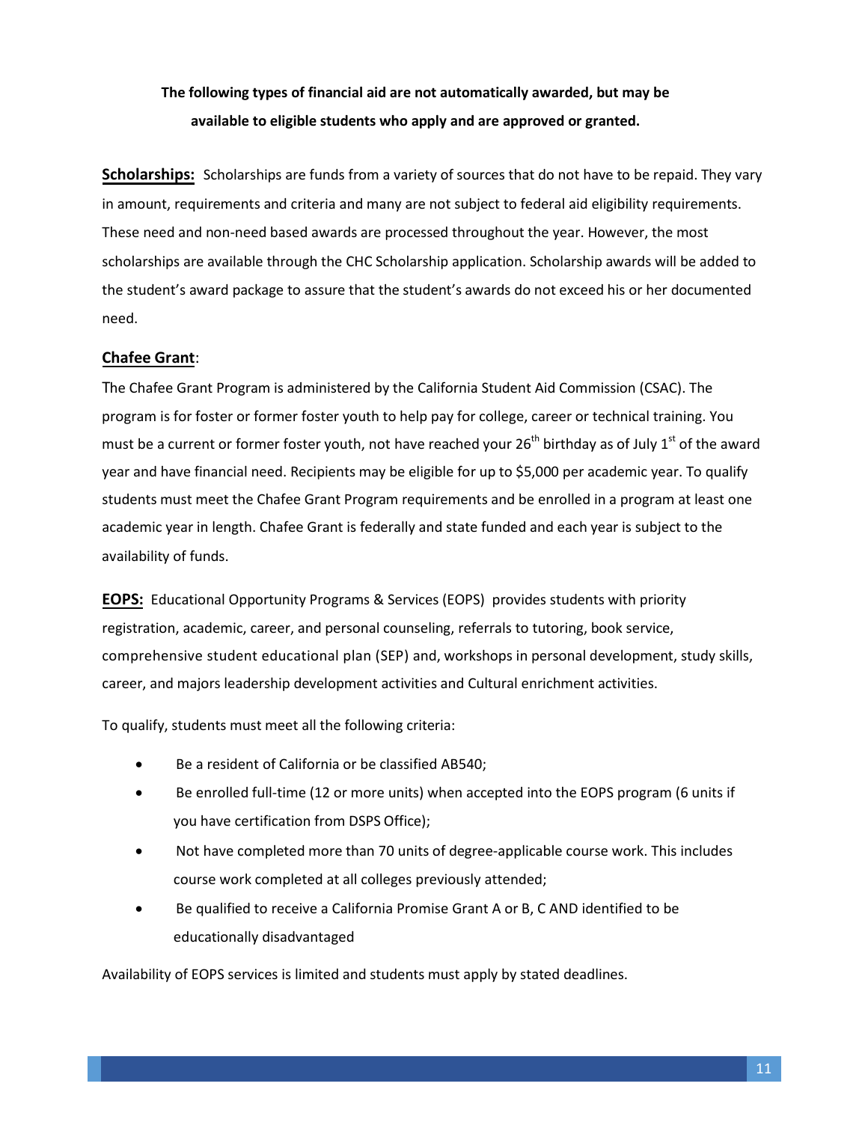# **The following types of financial aid are not automatically awarded, but may be available to eligible students who apply and are approved or granted.**

**Scholarships:** Scholarships are funds from a variety of sources that do not have to be repaid. They vary in amount, requirements and criteria and many are not subject to federal aid eligibility requirements. These need and non-need based awards are processed throughout the year. However, the most scholarships are available through the CHC Scholarship application. Scholarship awards will be added to the student's award package to assure that the student's awards do not exceed his or her documented need.

### **Chafee Grant**:

The Chafee Grant Program is administered by the California Student Aid Commission (CSAC). The program is for foster or former foster youth to help pay for college, career or technical training. You must be a current or former foster youth, not have reached your 26<sup>th</sup> birthday as of July 1<sup>st</sup> of the award year and have financial need. Recipients may be eligible for up to \$5,000 per academic year. To qualify students must meet the Chafee Grant Program requirements and be enrolled in a program at least one academic year in length. Chafee Grant is federally and state funded and each year is subject to the availability of funds.

**EOPS:** Educational Opportunity Programs & Services (EOPS) provides students with priority registration, academic, career, and personal counseling, referrals to tutoring, book service, comprehensive student educational plan (SEP) and, workshops in personal development, study skills, career, and majors leadership development activities and Cultural enrichment activities.

To qualify, students must meet all the following criteria:

- Be a resident of California or be classified AB540;
- Be enrolled full-time (12 or more units) when accepted into the EOPS program (6 units if you have certification from DSPS Office);
- Not have completed more than 70 units of degree-applicable course work. This includes course work completed at all colleges previously attended;
- Be qualified to receive a California Promise Grant A or B, C AND identified to be educationally disadvantaged

Availability of EOPS services is limited and students must apply by stated deadlines.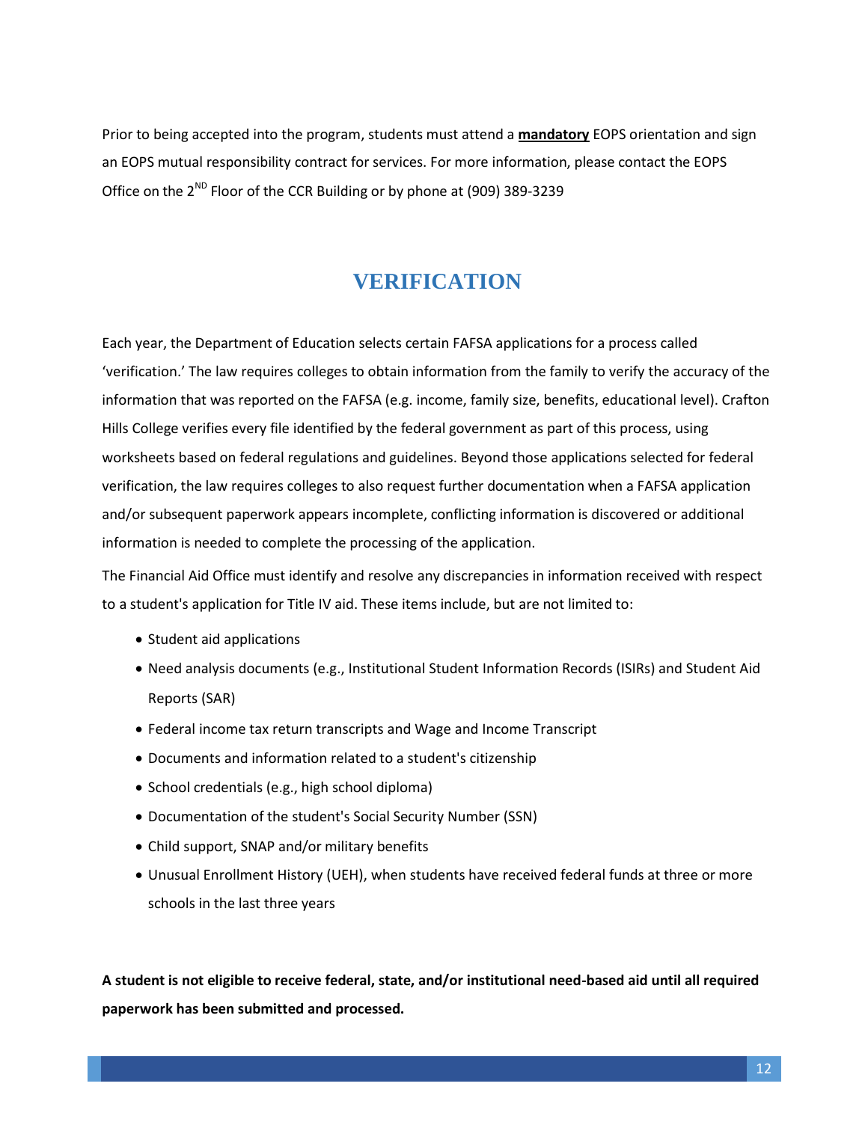Prior to being accepted into the program, students must attend a **mandatory** EOPS orientation and sign an EOPS mutual responsibility contract for services. For more information, please contact the EOPS Office on the 2<sup>ND</sup> Floor of the CCR Building or by phone at (909) 389-3239

# **VERIFICATION**

<span id="page-11-0"></span>Each year, the Department of Education selects certain FAFSA applications for a process called 'verification.' The law requires colleges to obtain information from the family to verify the accuracy of the information that was reported on the FAFSA (e.g. income, family size, benefits, educational level). Crafton Hills College verifies every file identified by the federal government as part of this process, using worksheets based on federal regulations and guidelines. Beyond those applications selected for federal verification, the law requires colleges to also request further documentation when a FAFSA application and/or subsequent paperwork appears incomplete, conflicting information is discovered or additional information is needed to complete the processing of the application.

The Financial Aid Office must identify and resolve any discrepancies in information received with respect to a student's application for Title IV aid. These items include, but are not limited to:

- Student aid applications
- Need analysis documents (e.g., Institutional Student Information Records (ISIRs) and Student Aid Reports (SAR)
- Federal income tax return transcripts and Wage and Income Transcript
- Documents and information related to a student's citizenship
- School credentials (e.g., high school diploma)
- Documentation of the student's Social Security Number (SSN)
- Child support, SNAP and/or military benefits
- Unusual Enrollment History (UEH), when students have received federal funds at three or more schools in the last three years

**A student is not eligible to receive federal, state, and/or institutional need-based aid until all required paperwork has been submitted and processed.**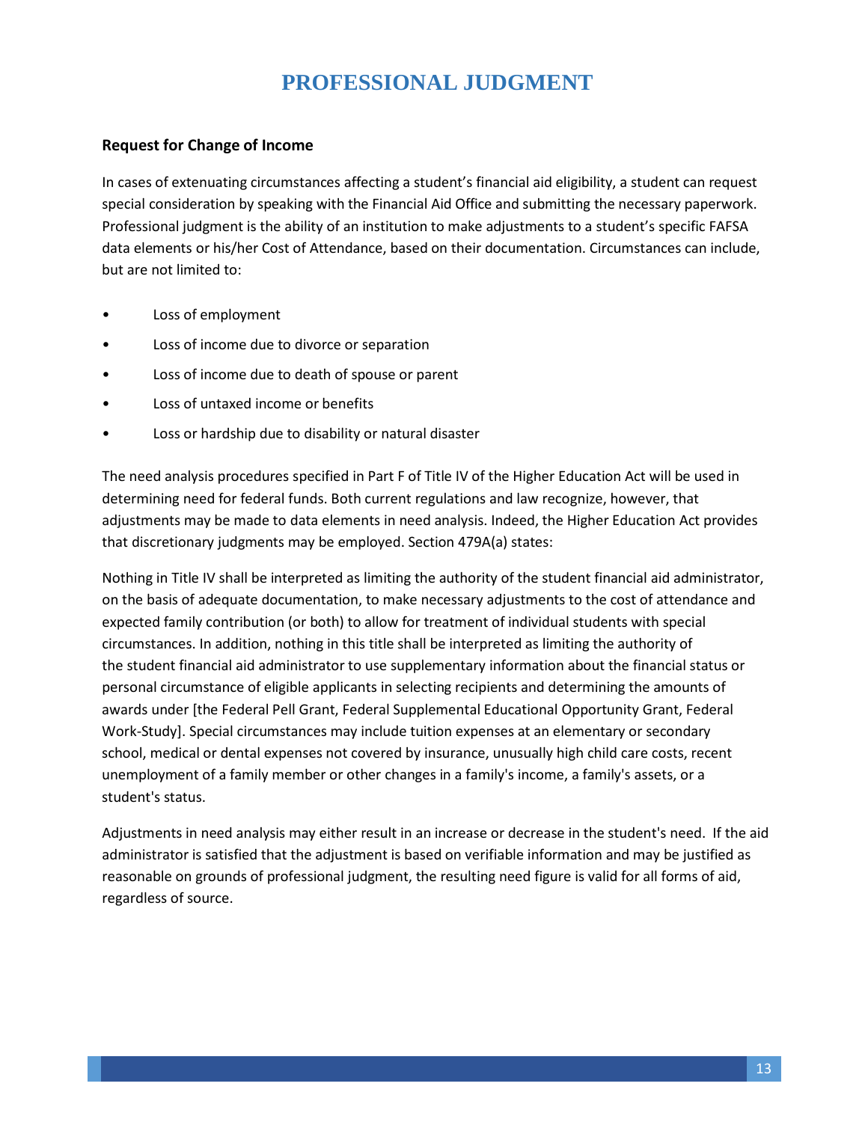# **PROFESSIONAL JUDGMENT**

### **Request for Change of Income**

<span id="page-12-0"></span>In cases of extenuating circumstances affecting a student's financial aid eligibility, a student can request special consideration by speaking with the Financial Aid Office and submitting the necessary paperwork. Professional judgment is the ability of an institution to make adjustments to a student's specific FAFSA data elements or his/her Cost of Attendance, based on their documentation. Circumstances can include, but are not limited to:

- Loss of employment
- Loss of income due to divorce or separation
- Loss of income due to death of spouse or parent
- Loss of untaxed income or benefits
- Loss or hardship due to disability or natural disaster

The need analysis procedures specified in Part F of Title IV of the Higher Education Act will be used in determining need for federal funds. Both current regulations and law recognize, however, that adjustments may be made to data elements in need analysis. Indeed, the Higher Education Act provides that discretionary judgments may be employed. Section 479A(a) states:

Nothing in Title IV shall be interpreted as limiting the authority of the student financial aid administrator, on the basis of adequate documentation, to make necessary adjustments to the cost of attendance and expected family contribution (or both) to allow for treatment of individual students with special circumstances. In addition, nothing in this title shall be interpreted as limiting the authority of the student financial aid administrator to use supplementary information about the financial status or personal circumstance of eligible applicants in selecting recipients and determining the amounts of awards under [the Federal Pell Grant, Federal Supplemental Educational Opportunity Grant, Federal Work-Study]. Special circumstances may include tuition expenses at an elementary or secondary school, medical or dental expenses not covered by insurance, unusually high child care costs, recent unemployment of a family member or other changes in a family's income, a family's assets, or a student's status.

Adjustments in need analysis may either result in an increase or decrease in the student's need. If the aid administrator is satisfied that the adjustment is based on verifiable information and may be justified as reasonable on grounds of professional judgment, the resulting need figure is valid for all forms of aid, regardless of source.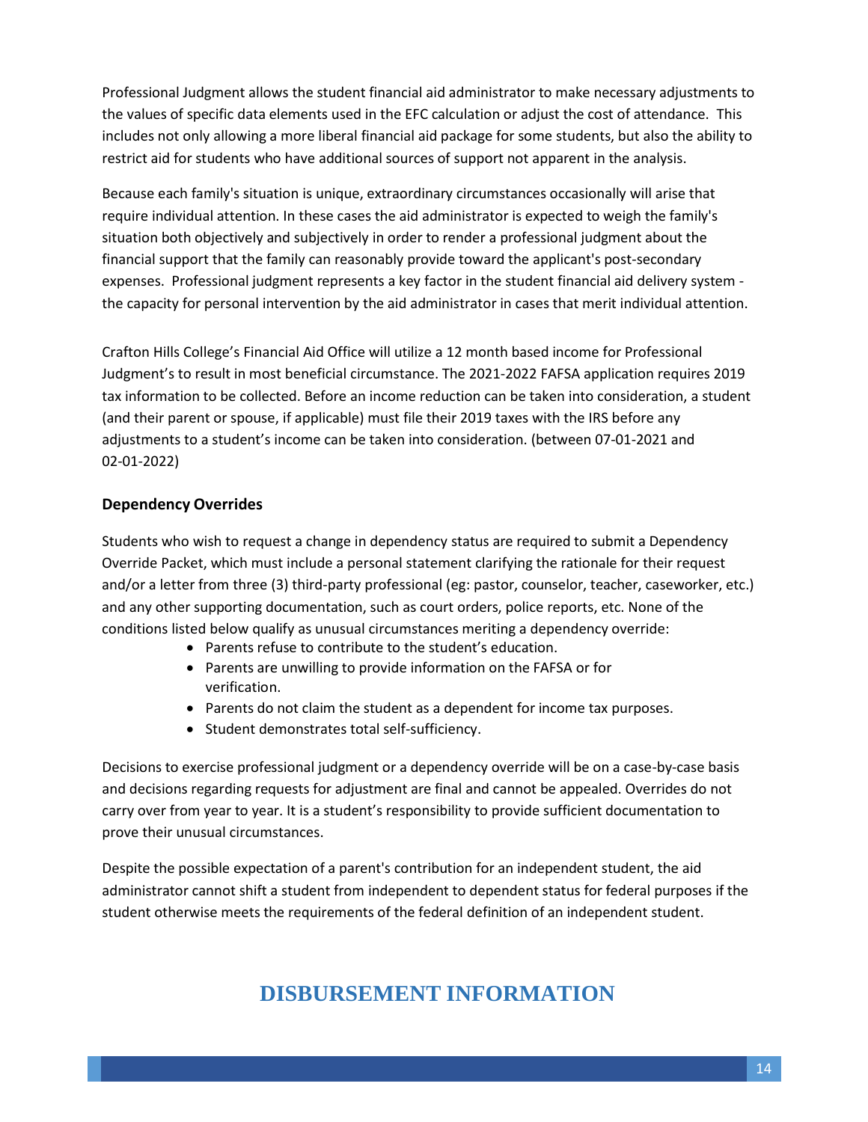Professional Judgment allows the student financial aid administrator to make necessary adjustments to the values of specific data elements used in the EFC calculation or adjust the cost of attendance. This includes not only allowing a more liberal financial aid package for some students, but also the ability to restrict aid for students who have additional sources of support not apparent in the analysis.

Because each family's situation is unique, extraordinary circumstances occasionally will arise that require individual attention. In these cases the aid administrator is expected to weigh the family's situation both objectively and subjectively in order to render a professional judgment about the financial support that the family can reasonably provide toward the applicant's post-secondary expenses. Professional judgment represents a key factor in the student financial aid delivery system the capacity for personal intervention by the aid administrator in cases that merit individual attention.

Crafton Hills College's Financial Aid Office will utilize a 12 month based income for Professional Judgment's to result in most beneficial circumstance. The 2021-2022 FAFSA application requires 2019 tax information to be collected. Before an income reduction can be taken into consideration, a student (and their parent or spouse, if applicable) must file their 2019 taxes with the IRS before any adjustments to a student's income can be taken into consideration. (between 07-01-2021 and 02-01-2022)

#### **Dependency Overrides**

Students who wish to request a change in dependency status are required to submit a Dependency Override Packet, which must include a personal statement clarifying the rationale for their request and/or a letter from three (3) third-party professional (eg: pastor, counselor, teacher, caseworker, etc.) and any other supporting documentation, such as court orders, police reports, etc. None of the conditions listed below qualify as unusual circumstances meriting a dependency override:

- Parents refuse to contribute to the student's education.
- Parents are unwilling to provide information on the FAFSA or for verification.
- Parents do not claim the student as a dependent for income tax purposes.
- Student demonstrates total self-sufficiency.

Decisions to exercise professional judgment or a dependency override will be on a case-by-case basis and decisions regarding requests for adjustment are final and cannot be appealed. Overrides do not carry over from year to year. It is a student's responsibility to provide sufficient documentation to prove their unusual circumstances.

<span id="page-13-0"></span>Despite the possible expectation of a parent's contribution for an independent student, the aid administrator cannot shift a student from independent to dependent status for federal purposes if the student otherwise meets the requirements of the federal definition of an independent student.

# **DISBURSEMENT INFORMATION**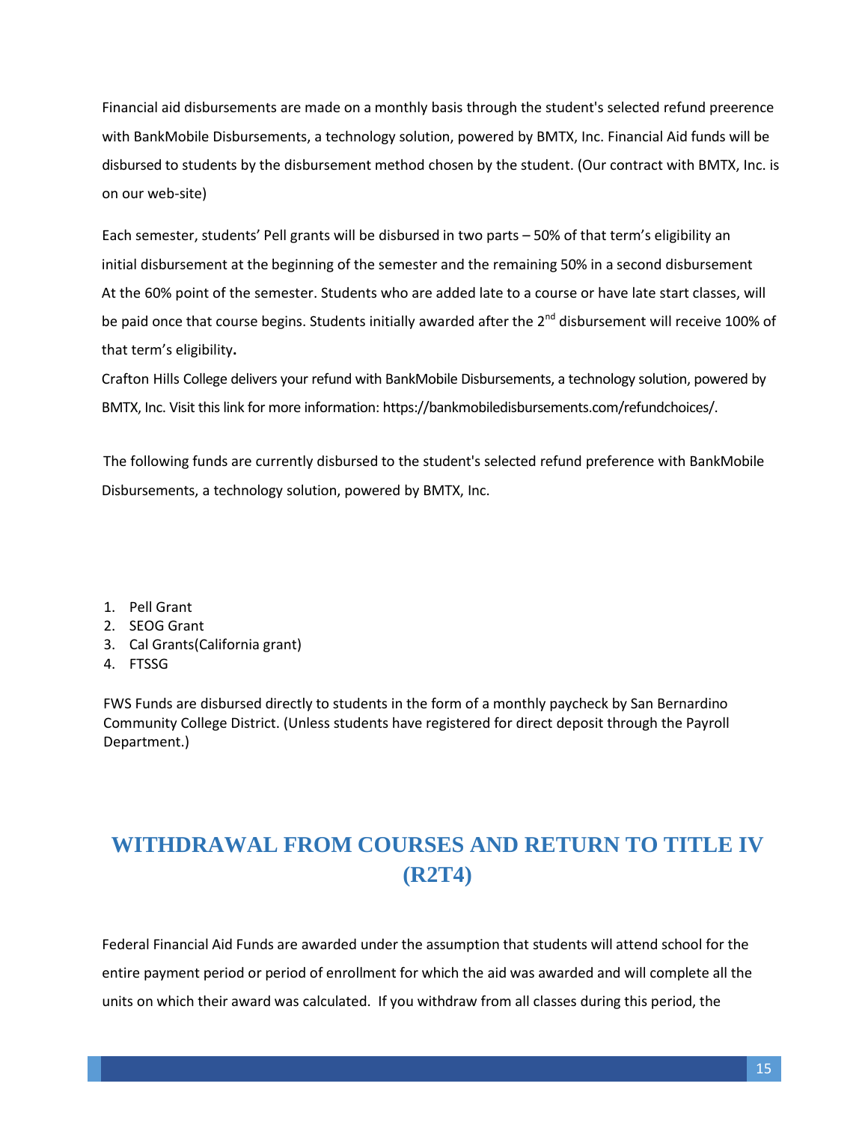Financial aid disbursements are made on a monthly basis through the student's selected refund preerence with BankMobile Disbursements, a technology solution, powered by BMTX, Inc. Financial Aid funds will be disbursed to students by the disbursement method chosen by the student. (Our contract with BMTX, Inc. is on our web-site)

Each semester, students' Pell grants will be disbursed in two parts – 50% of that term's eligibility an initial disbursement at the beginning of the semester and the remaining 50% in a second disbursement At the 60% point of the semester. Students who are added late to a course or have late start classes, will be paid once that course begins. Students initially awarded after the 2<sup>nd</sup> disbursement will receive 100% of that term's eligibility**.** 

Crafton Hills College delivers your refund with BankMobile Disbursements, a technology solution, powered by BMTX, Inc. Visit this link for more information: https://bankmobiledisbursements.com/refundchoices/.

The following funds are currently disbursed to the student's selected refund preference with BankMobile Disbursements, a technology solution, powered by BMTX, Inc.

- 1. Pell Grant
- 2. SEOG Grant
- 3. Cal Grants(California grant)
- 4. FTSSG

FWS Funds are disbursed directly to students in the form of a monthly paycheck by San Bernardino Community College District. (Unless students have registered for direct deposit through the Payroll Department.)

# <span id="page-14-0"></span>**WITHDRAWAL FROM COURSES AND RETURN TO TITLE IV (R2T4)**

Federal Financial Aid Funds are awarded under the assumption that students will attend school for the entire payment period or period of enrollment for which the aid was awarded and will complete all the units on which their award was calculated. If you withdraw from all classes during this period, the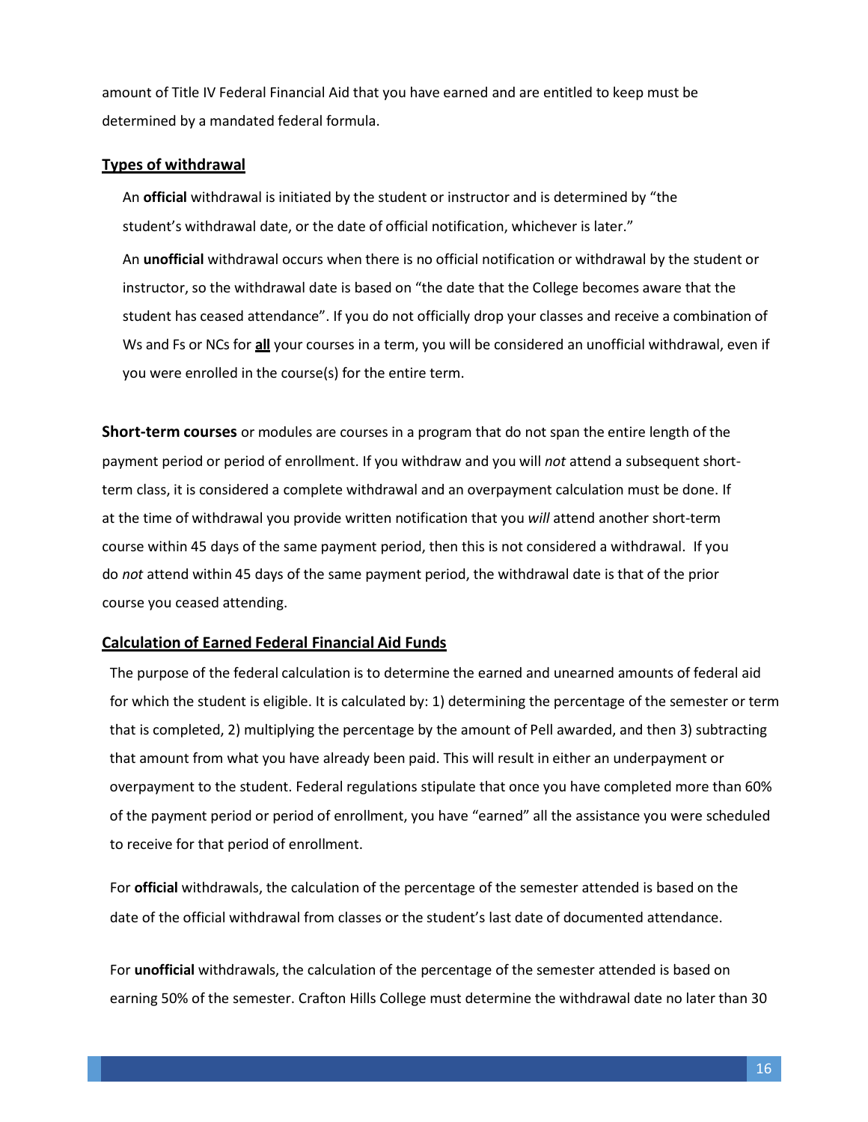amount of Title IV Federal Financial Aid that you have earned and are entitled to keep must be determined by a mandated federal formula.

#### **Types of withdrawal**

An **official** withdrawal is initiated by the student or instructor and is determined by "the student's withdrawal date, or the date of official notification, whichever is later."

An **unofficial** withdrawal occurs when there is no official notification or withdrawal by the student or instructor, so the withdrawal date is based on "the date that the College becomes aware that the student has ceased attendance". If you do not officially drop your classes and receive a combination of Ws and Fs or NCs for **all** your courses in a term, you will be considered an unofficial withdrawal, even if you were enrolled in the course(s) for the entire term.

**Short-term courses** or modules are courses in a program that do not span the entire length of the payment period or period of enrollment. If you withdraw and you will *not* attend a subsequent shortterm class, it is considered a complete withdrawal and an overpayment calculation must be done. If at the time of withdrawal you provide written notification that you *will* attend another short-term course within 45 days of the same payment period, then this is not considered a withdrawal. If you do *not* attend within 45 days of the same payment period, the withdrawal date is that of the prior course you ceased attending.

#### **Calculation of Earned Federal Financial Aid Funds**

The purpose of the federal calculation is to determine the earned and unearned amounts of federal aid for which the student is eligible. It is calculated by: 1) determining the percentage of the semester or term that is completed, 2) multiplying the percentage by the amount of Pell awarded, and then 3) subtracting that amount from what you have already been paid. This will result in either an underpayment or overpayment to the student. Federal regulations stipulate that once you have completed more than 60% of the payment period or period of enrollment, you have "earned" all the assistance you were scheduled to receive for that period of enrollment.

For **official** withdrawals, the calculation of the percentage of the semester attended is based on the date of the official withdrawal from classes or the student's last date of documented attendance.

For **unofficial** withdrawals, the calculation of the percentage of the semester attended is based on earning 50% of the semester. Crafton Hills College must determine the withdrawal date no later than 30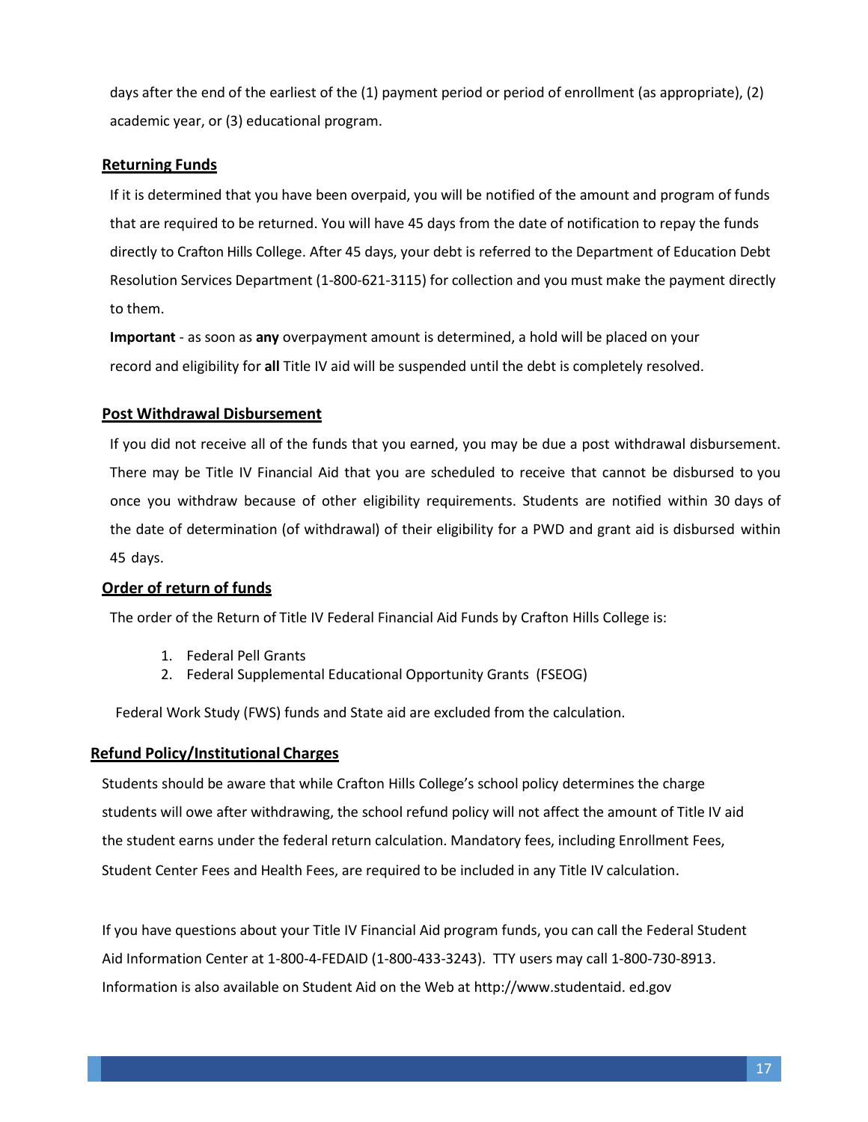days after the end of the earliest of the (1) payment period or period of enrollment (as appropriate), (2) academic year, or (3) educational program.

#### **Returning Funds**

If it is determined that you have been overpaid, you will be notified of the amount and program of funds that are required to be returned. You will have 45 days from the date of notification to repay the funds directly to Crafton Hills College. After 45 days, your debt is referred to the Department of Education Debt Resolution Services Department (1-800-621-3115) for collection and you must make the payment directly to them.

**Important** - as soon as **any** overpayment amount is determined, a hold will be placed on your record and eligibility for **all** Title IV aid will be suspended until the debt is completely resolved.

#### **Post Withdrawal Disbursement**

If you did not receive all of the funds that you earned, you may be due a post withdrawal disbursement. There may be Title IV Financial Aid that you are scheduled to receive that cannot be disbursed to you once you withdraw because of other eligibility requirements. Students are notified within 30 days of the date of determination (of withdrawal) of their eligibility for a PWD and grant aid is disbursed within 45 days.

#### **Order of return of funds**

The order of the Return of Title IV Federal Financial Aid Funds by Crafton Hills College is:

- 1. Federal Pell Grants
- 2. Federal Supplemental Educational Opportunity Grants (FSEOG)

Federal Work Study (FWS) funds and State aid are excluded from the calculation.

#### **Refund Policy/Institutional Charges**

Students should be aware that while Crafton Hills College's school policy determines the charge students will owe after withdrawing, the school refund policy will not affect the amount of Title IV aid the student earns under the federal return calculation. Mandatory fees, including Enrollment Fees, Student Center Fees and Health Fees, are required to be included in any Title IV calculation.

If you have questions about your Title IV Financial Aid program funds, you can call the Federal Student Aid Information Center at 1-800-4-FEDAID (1-800-433-3243). TTY users may call 1-800-730-8913. Information is also available on Student Aid on the Web at [http://www.](http://www/)studentaid. ed.gov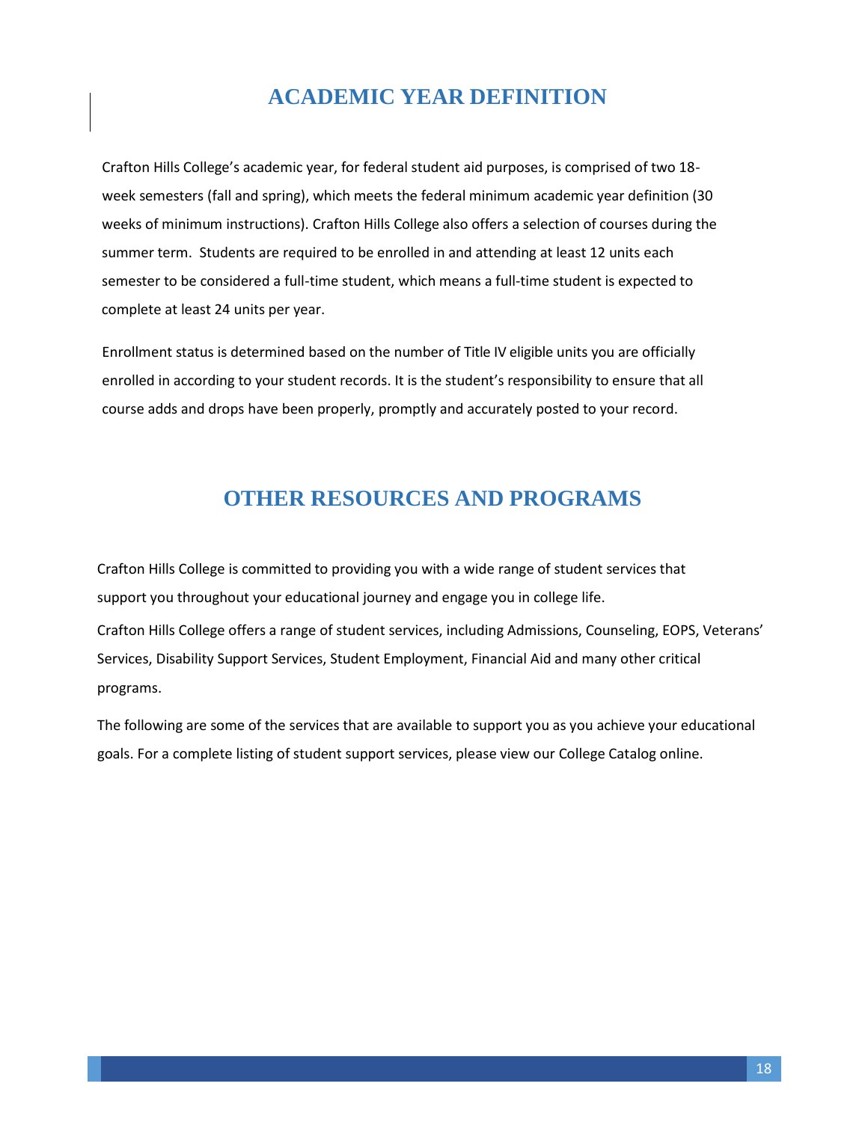# **ACADEMIC YEAR DEFINITION**

<span id="page-17-0"></span>Crafton Hills College's academic year, for federal student aid purposes, is comprised of two 18 week semesters (fall and spring), which meets the federal minimum academic year definition (30 weeks of minimum instructions). Crafton Hills College also offers a selection of courses during the summer term. Students are required to be enrolled in and attending at least 12 units each semester to be considered a full-time student, which means a full-time student is expected to complete at least 24 units per year.

Enrollment status is determined based on the number of Title IV eligible units you are officially enrolled in according to your student records. It is the student's responsibility to ensure that all course adds and drops have been properly, promptly and accurately posted to your record.

# **OTHER RESOURCES AND PROGRAMS**

<span id="page-17-1"></span>Crafton Hills College is committed to providing you with a wide range of student services that support you throughout your educational journey and engage you in college life. Crafton Hills College offers a range of student services, including Admissions, Counseling, EOPS, Veterans' Services, Disability Support Services, Student Employment, Financial Aid and many other critical programs.

The following are some of the services that are available to support you as you achieve your educational goals. For a complete listing of student support services, please view our College Catalog online.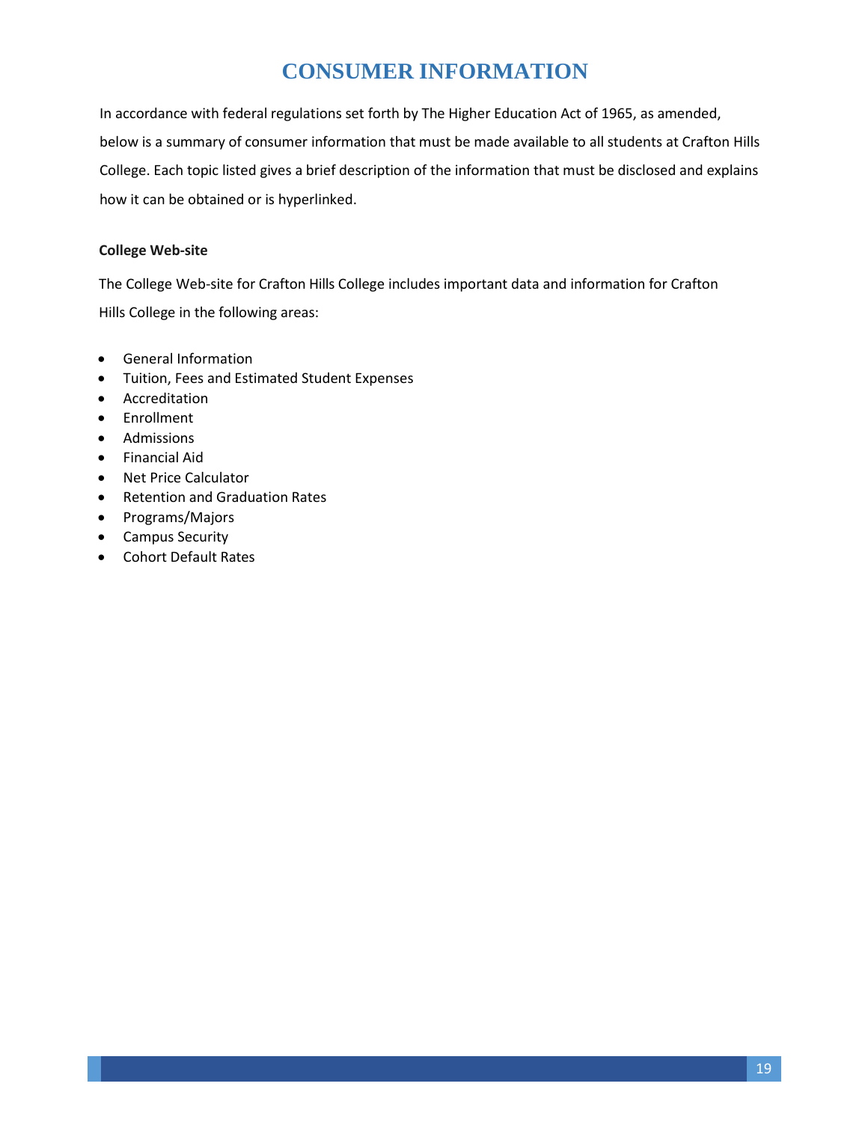# **CONSUMER INFORMATION**

In accordance with federal regulations set forth by The Higher Education Act of 1965, as amended, below is a summary of consumer information that must be made available to all students at Crafton Hills College. Each topic listed gives a brief description of the information that must be disclosed and explains how it can be obtained or is hyperlinked.

### **College Web-site**

The College Web-site for Crafton Hills College includes important data and information for Crafton Hills College in the following areas:

- General Information
- Tuition, Fees and Estimated Student Expenses
- Accreditation
- Enrollment
- Admissions
- Financial Aid
- Net Price Calculator
- Retention and Graduation Rates
- Programs/Majors
- <span id="page-18-0"></span>• Campus Security
- Cohort Default Rates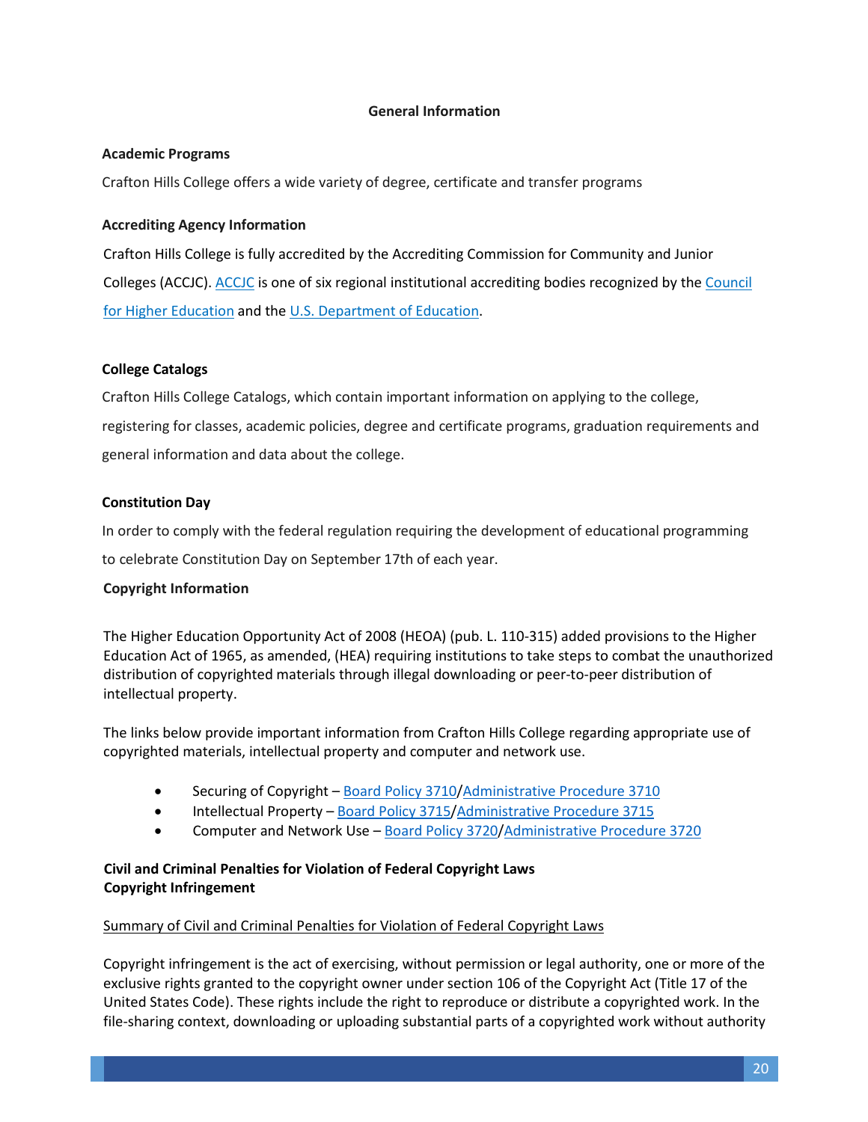#### **General Information**

#### **Academic Programs**

Crafton Hills College offers a wide variety of degree, certificate and transfer programs

#### **Accrediting Agency Information**

Crafton Hills College is fully accredited by the Accrediting Commission for Community and Junior Colleges (ACCJC). [ACCJC](http://www.accjc.org/) is one of six regional institutional accrediting bodies recognized by the [Council](http://chea.org/)  [for Higher Education](http://chea.org/) and the [U.S. Department of Education.](http://www.ed.gov/)

#### **College Catalogs**

Crafton Hills College Catalogs, which contain important information on applying to the college, registering for classes, academic policies, degree and certificate programs, graduation requirements and general information and data about the college.

#### **Constitution Day**

In order to comply with the federal regulation requiring the development of educational programming

to celebrate Constitution Day on September 17th of each year.

#### **Copyright Information**

The Higher Education Opportunity Act of 2008 (HEOA) (pub. L. 110-315) added provisions to the Higher Education Act of 1965, as amended, (HEA) requiring institutions to take steps to combat the unauthorized distribution of copyrighted materials through illegal downloading or peer-to-peer distribution of intellectual property.

The links below provide important information from Crafton Hills College regarding appropriate use of copyrighted materials, intellectual property and computer and network use.

- Securing of Copyright – [Board Policy 3710/](http://www.sbccd.org/~/media/Files/SBCCD/District/Board/Temporary%20Old%20Policies%20and%20Procedures%20from%20May%202014/BP3710%20Intellectual%20Property%20%20Copyright.pdf)[Administrative Procedure 3710](http://www.sbccd.org/~/media/Files/SBCCD/District/Board/Temporary%20Old%20Policies%20and%20Procedures%20from%20May%202014/AP3710%20Intellectual%20Property%20%20Copyright.pdf)
- Intellectual Property – [Board Policy 3715/](http://www.sbccd.org/~/media/Files/SBCCD/District/Board/Temporary%20Old%20Policies%20and%20Procedures%20from%20May%202014/BP3710%20Intellectual%20Property%20%20Copyright.pdf)[Administrative Procedure 3715](http://www.sbccd.org/~/media/Files/SBCCD/District/Board/Temporary%20Old%20Policies%20and%20Procedures%20from%20May%202014/AP3710%20Intellectual%20Property%20%20Copyright.pdf)
- Computer and Network Use – [Board Policy 3720/](http://www.sbccd.org/~/media/Files/SBCCD/District/Board/Temporary%20Old%20Policies%20and%20Procedures%20from%20May%202014/BP3720%20Computer%20Use.pdf)[Administrative Procedure 3720](http://www.sbccd.org/~/media/Files/SBCCD/District/Board/Temporary%20Old%20Policies%20and%20Procedures%20from%20May%202014/AP3720%20Computer%20Use.pdf)

#### **Civil and Criminal Penalties for Violation of Federal Copyright Laws Copyright Infringement**

#### Summary of Civil and Criminal Penalties for Violation of Federal Copyright Laws

Copyright infringement is the act of exercising, without permission or legal authority, one or more of the exclusive rights granted to the copyright owner under section 106 of the Copyright Act (Title 17 of the United States Code). These rights include the right to reproduce or distribute a copyrighted work. In the file-sharing context, downloading or uploading substantial parts of a copyrighted work without authority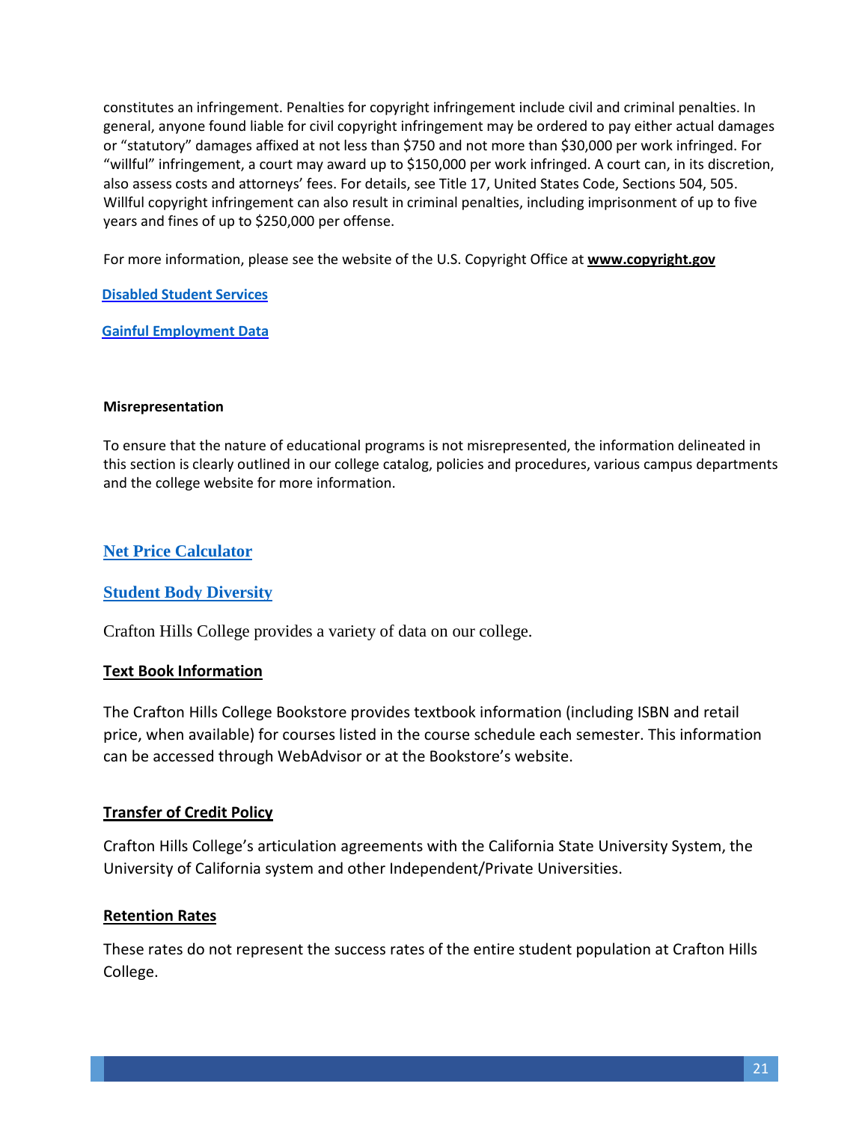constitutes an infringement. Penalties for copyright infringement include civil and criminal penalties. In general, anyone found liable for civil copyright infringement may be ordered to pay either actual damages or "statutory" damages affixed at not less than \$750 and not more than \$30,000 per work infringed. For "willful" infringement, a court may award up to \$150,000 per work infringed. A court can, in its discretion, also assess costs and attorneys' fees. For details, see Title 17, United States Code, Sections 504, 505. Willful copyright infringement can also result in criminal penalties, including imprisonment of up to five years and fines of up to \$250,000 per offense.

For more information, please see the website of the U.S. Copyright Office at **[www.copyright.gov](http://www.copyright.gov/)**

**[Disabled Student Services](http://www.valleycollege.edu/academic-career-programs/college-catalog)**

**[Gainful Employment Data](http://www.valleycollege.edu/about-sbvc/offices/office-research-planning/gainful-employment)**

#### **Misrepresentation**

To ensure that the nature of educational programs is not misrepresented, the information delineated in this section is clearly outlined in our college catalog, policies and procedures, various campus departments and the college website for more information.

# **[Net Price Calculator](https://webprod.cccco.edu/npc/982/npcalc.htm)**

## **[Student Body Diversity](http://www.valleycollege.edu/about-sbvc/offices/office-research-planning/Reports)**

Crafton Hills College provides a variety of data on our college.

## **Text Book Information**

The Crafton Hills College Bookstore provides textbook information (including ISBN and retail price, when available) for courses listed in the course schedule each semester. This information can be accessed through WebAdvisor or at the Bookstore's website.

## **Transfer of Credit Policy**

Crafton Hills College's articulation agreements with the California State University System, the University of California system and other Independent/Private Universities.

## **Retention Rates**

These rates do not represent the success rates of the entire student population at Crafton Hills College.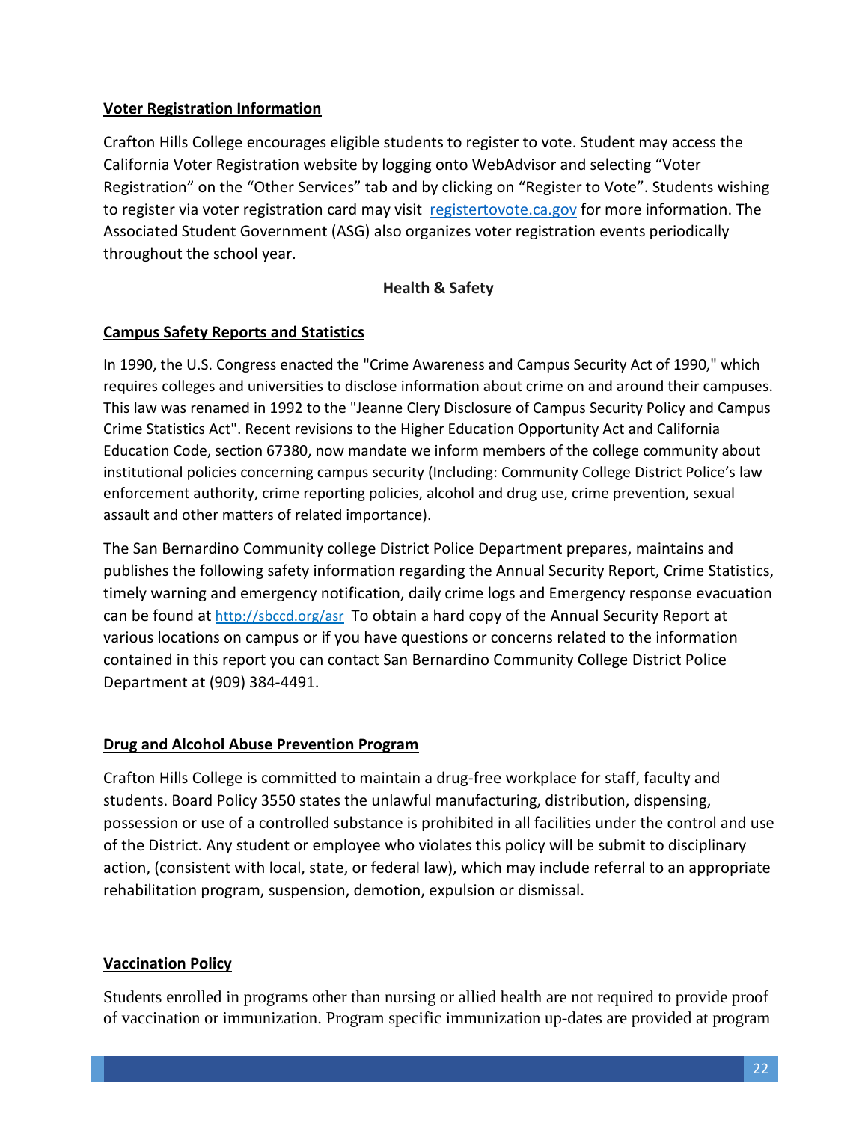## **Voter Registration Information**

Crafton Hills College encourages eligible students to register to vote. Student may access the California Voter Registration website by logging onto WebAdvisor and selecting "Voter Registration" on the "Other Services" tab and by clicking on "Register to Vote". Students wishing to register via voter registration card may visit [registertovote.ca.gov](http://registertovote.ca.gov/) for more information. The Associated Student Government (ASG) also organizes voter registration events periodically throughout the school year.

## **Health & Safety**

## **Campus Safety Reports and Statistics**

In 1990, the U.S. Congress enacted the "Crime Awareness and Campus Security Act of 1990," which requires colleges and universities to disclose information about crime on and around their campuses. This law was renamed in 1992 to the "Jeanne Clery Disclosure of Campus Security Policy and Campus Crime Statistics Act". Recent revisions to the Higher Education Opportunity Act and California Education Code, section 67380, now mandate we inform members of the college community about institutional policies concerning campus security (Including: Community College District Police's law enforcement authority, crime reporting policies, alcohol and drug use, crime prevention, sexual assault and other matters of related importance).

The San Bernardino Community college District Police Department prepares, maintains and publishes the following safety information regarding the Annual Security Report, Crime Statistics, timely warning and emergency notification, daily crime logs and Emergency response evacuation can be found at<http://sbccd.org/asr> To obtain a hard copy of the Annual Security Report at various locations on campus or if you have questions or concerns related to the information contained in this report you can contact San Bernardino Community College District Police Department at (909) 384-4491.

# **Drug and Alcohol Abuse Prevention Program**

Crafton Hills College is committed to maintain a drug-free workplace for staff, faculty and students. Board Policy 3550 states the unlawful manufacturing, distribution, dispensing, possession or use of a controlled substance is prohibited in all facilities under the control and use of the District. Any student or employee who violates this policy will be submit to disciplinary action, (consistent with local, state, or federal law), which may include referral to an appropriate rehabilitation program, suspension, demotion, expulsion or dismissal.

# **Vaccination Policy**

Students enrolled in programs other than nursing or allied health are not required to provide proof of vaccination or immunization. Program specific immunization up-dates are provided at program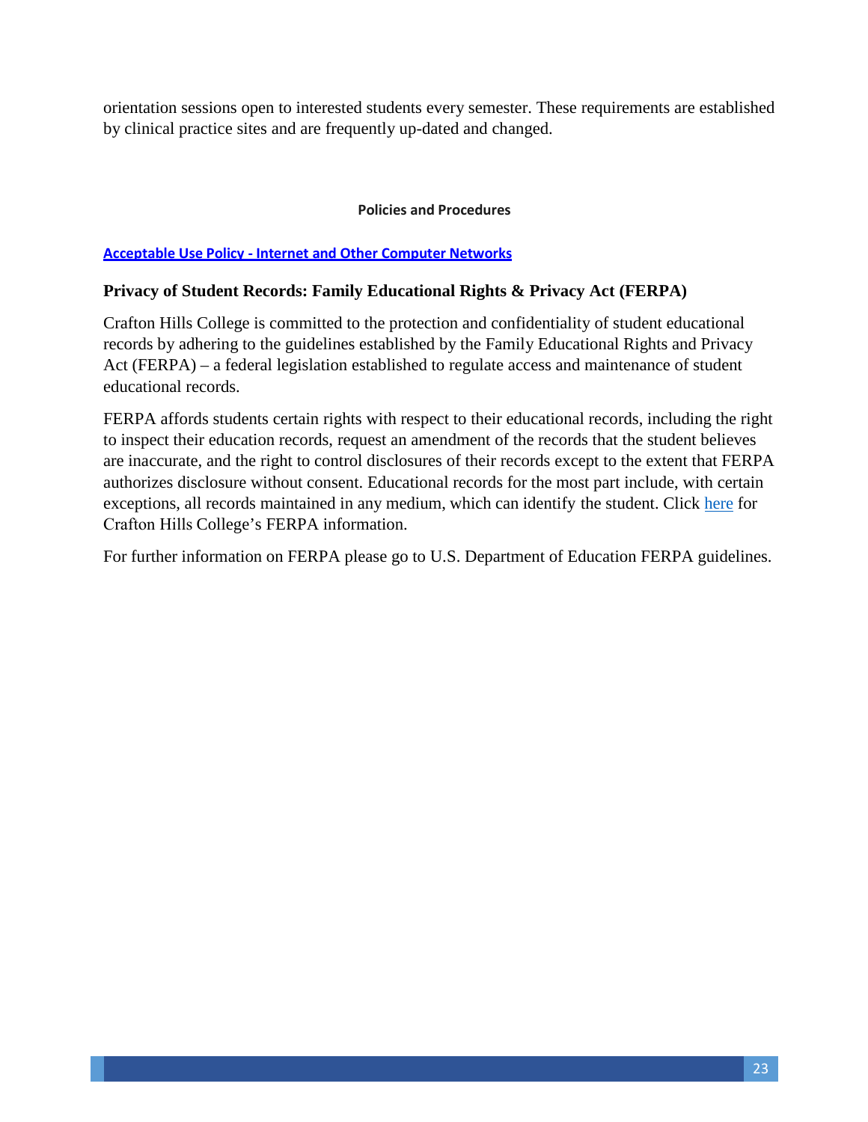orientation sessions open to interested students every semester. These requirements are established by clinical practice sites and are frequently up-dated and changed.

#### **Policies and Procedures**

#### **[Acceptable Use Policy - Internet and Other Computer Networks](http://www.swccd.edu/index.aspx?page=202)**

## **Privacy of Student Records: Family Educational Rights & Privacy Act (FERPA)**

Crafton Hills College is committed to the protection and confidentiality of student educational records by adhering to the guidelines established by the Family Educational Rights and Privacy Act (FERPA) – a federal legislation established to regulate access and maintenance of student educational records.

FERPA affords students certain rights with respect to their educational records, including the right to inspect their education records, request an amendment of the records that the student believes are inaccurate, and the right to control disclosures of their records except to the extent that FERPA authorizes disclosure without consent. Educational records for the most part include, with certain exceptions, all records maintained in any medium, which can identify the student. Click [here](http://www.valleycollege.edu/online-classes/faculty-resources-online-classes/ferpa) for Crafton Hills College's FERPA information.

For further information on FERPA please go to U.S. Department of Education FERPA guidelines.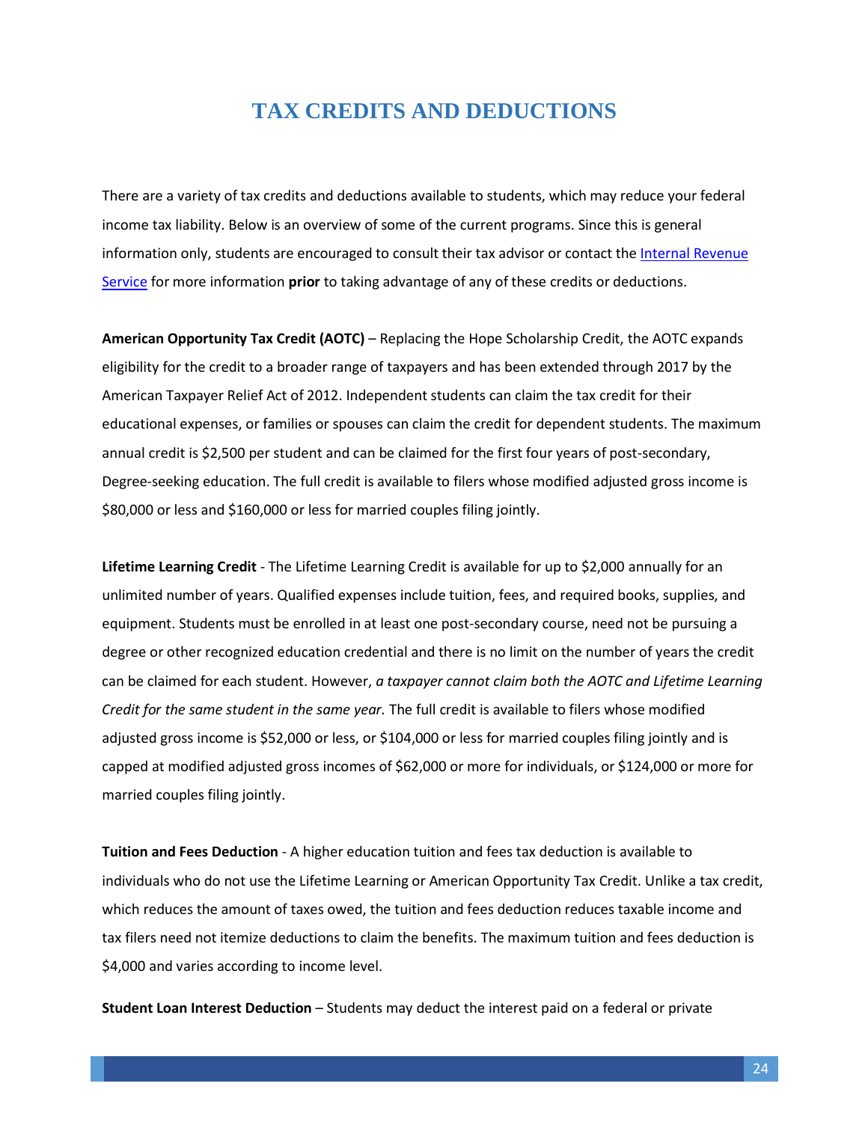# **TAX CREDITS AND DEDUCTIONS**

<span id="page-23-0"></span>There are a variety of tax credits and deductions available to students, which may reduce your federal income tax liability. Below is an overview of some of the current programs. Since this is general information only, students are encouraged to consult their tax advisor or contact th[e Internal Revenue](http://www.irs.gov/Individuals/Tax-Incentives-for-Higher-Education-) [Service](http://www.irs.gov/Individuals/Tax-Incentives-for-Higher-Education-) for more information **prior** to taking advantage of any of these credits or deductions.

**American Opportunity Tax Credit (AOTC)** – Replacing the Hope Scholarship Credit, the AOTC expands eligibility for the credit to a broader range of taxpayers and has been extended through 2017 by the American Taxpayer Relief Act of 2012. Independent students can claim the tax credit for their educational expenses, or families or spouses can claim the credit for dependent students. The maximum annual credit is \$2,500 per student and can be claimed for the first four years of post-secondary, Degree-seeking education. The full credit is available to filers whose modified adjusted gross income is \$80,000 or less and \$160,000 or less for married couples filing jointly.

**Lifetime Learning Credit** - The Lifetime Learning Credit is available for up to \$2,000 annually for an unlimited number of years. Qualified expenses include tuition, fees, and required books, supplies, and equipment. Students must be enrolled in at least one post-secondary course, need not be pursuing a degree or other recognized education credential and there is no limit on the number of years the credit can be claimed for each student. However, *a taxpayer cannot claim both the AOTC and Lifetime Learning Credit for the same student in the same year.* The full credit is available to filers whose modified adjusted gross income is \$52,000 or less, or \$104,000 or less for married couples filing jointly and is capped at modified adjusted gross incomes of \$62,000 or more for individuals, or \$124,000 or more for married couples filing jointly.

**Tuition and Fees Deduction** - A higher education tuition and fees tax deduction is available to individuals who do not use the Lifetime Learning or American Opportunity Tax Credit. Unlike a tax credit, which reduces the amount of taxes owed, the tuition and fees deduction reduces taxable income and tax filers need not itemize deductions to claim the benefits. The maximum tuition and fees deduction is \$4,000 and varies according to income level.

**Student Loan Interest Deduction** – Students may deduct the interest paid on a federal or private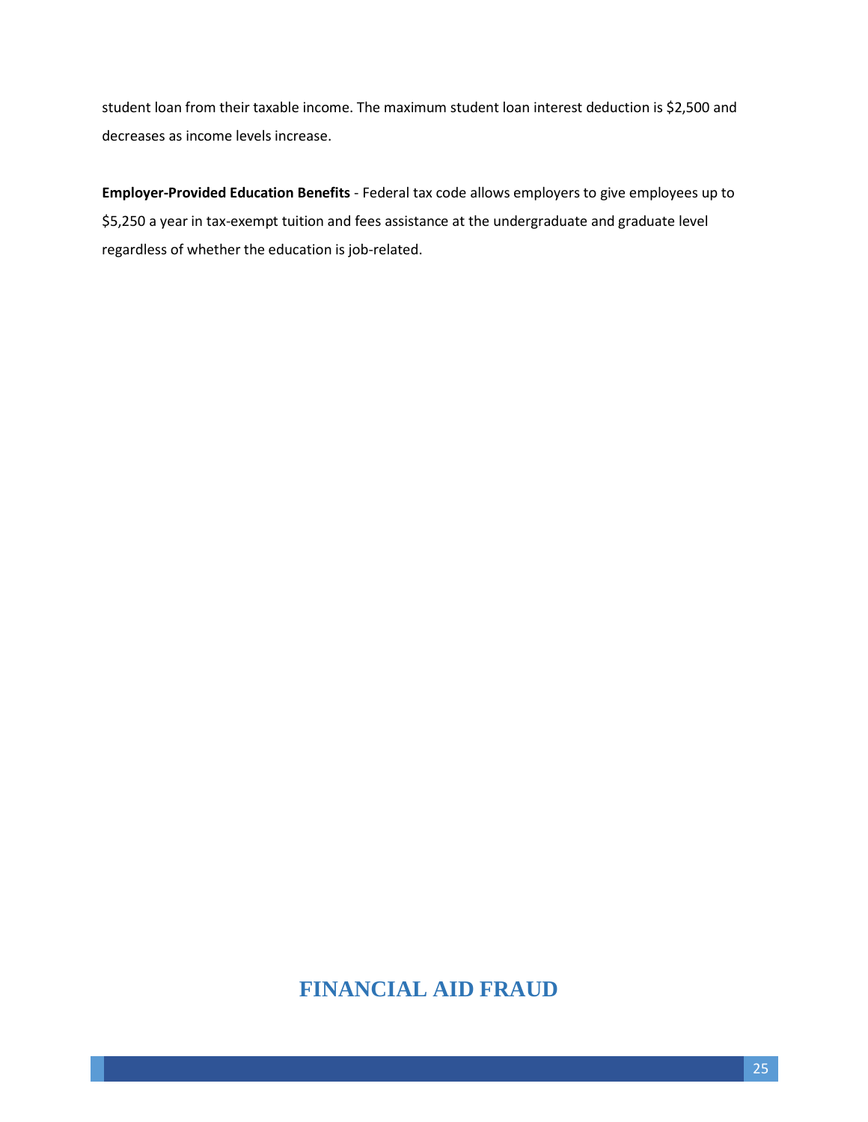student loan from their taxable income. The maximum student loan interest deduction is \$2,500 and decreases as income levels increase.

**Employer-Provided Education Benefits** - Federal tax code allows employers to give employees up to \$5,250 a year in tax-exempt tuition and fees assistance at the undergraduate and graduate level regardless of whether the education is job-related.

# <span id="page-24-0"></span>**FINANCIAL AID FRAUD**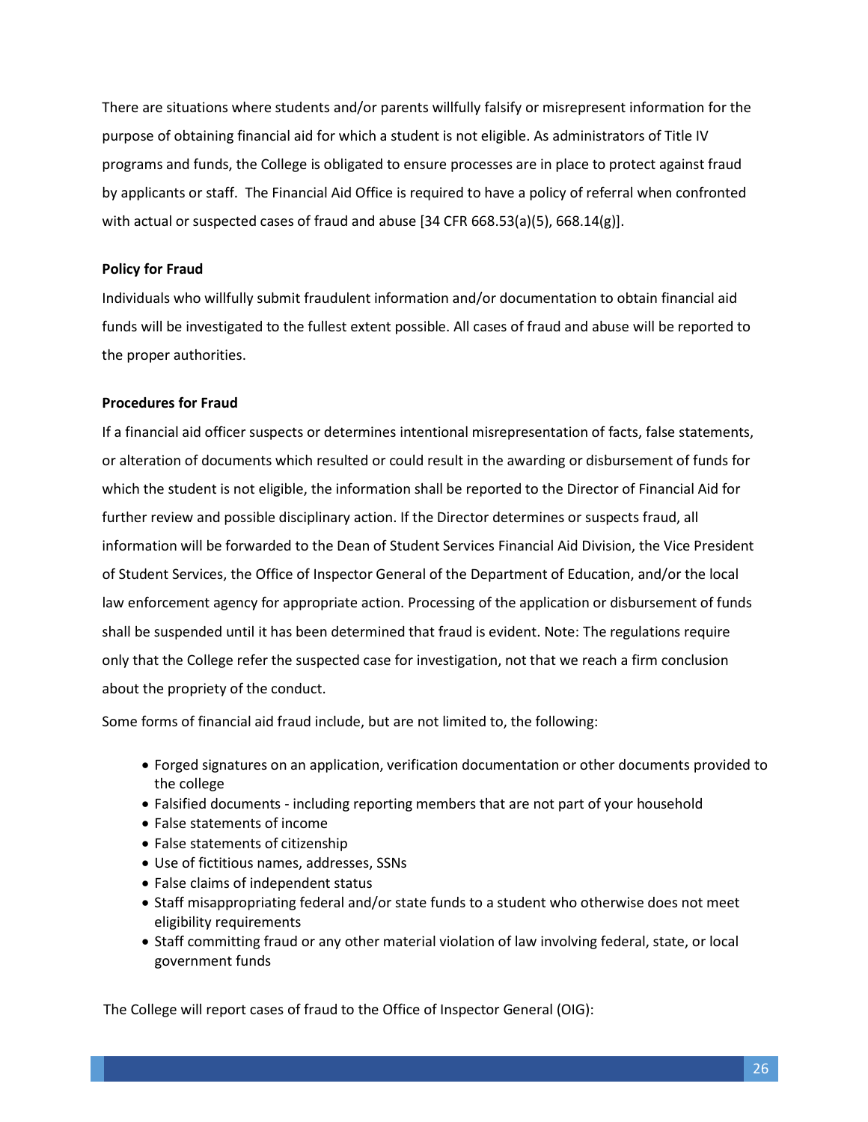There are situations where students and/or parents willfully falsify or misrepresent information for the purpose of obtaining financial aid for which a student is not eligible. As administrators of Title IV programs and funds, the College is obligated to ensure processes are in place to protect against fraud by applicants or staff. The Financial Aid Office is required to have a policy of referral when confronted with actual or suspected cases of fraud and abuse  $[34$  CFR 668.53(a)(5), 668.14(g)].

#### **Policy for Fraud**

Individuals who willfully submit fraudulent information and/or documentation to obtain financial aid funds will be investigated to the fullest extent possible. All cases of fraud and abuse will be reported to the proper authorities.

#### **Procedures for Fraud**

If a financial aid officer suspects or determines intentional misrepresentation of facts, false statements, or alteration of documents which resulted or could result in the awarding or disbursement of funds for which the student is not eligible, the information shall be reported to the Director of Financial Aid for further review and possible disciplinary action. If the Director determines or suspects fraud, all information will be forwarded to the Dean of Student Services Financial Aid Division, the Vice President of Student Services, the Office of Inspector General of the Department of Education, and/or the local law enforcement agency for appropriate action. Processing of the application or disbursement of funds shall be suspended until it has been determined that fraud is evident. Note: The regulations require only that the College refer the suspected case for investigation, not that we reach a firm conclusion about the propriety of the conduct.

Some forms of financial aid fraud include, but are not limited to, the following:

- Forged signatures on an application, verification documentation or other documents provided to the college
- Falsified documents including reporting members that are not part of your household
- False statements of income
- False statements of citizenship
- Use of fictitious names, addresses, SSNs
- False claims of independent status
- Staff misappropriating federal and/or state funds to a student who otherwise does not meet eligibility requirements
- Staff committing fraud or any other material violation of law involving federal, state, or local government funds

The College will report cases of fraud to the Office of Inspector General (OIG):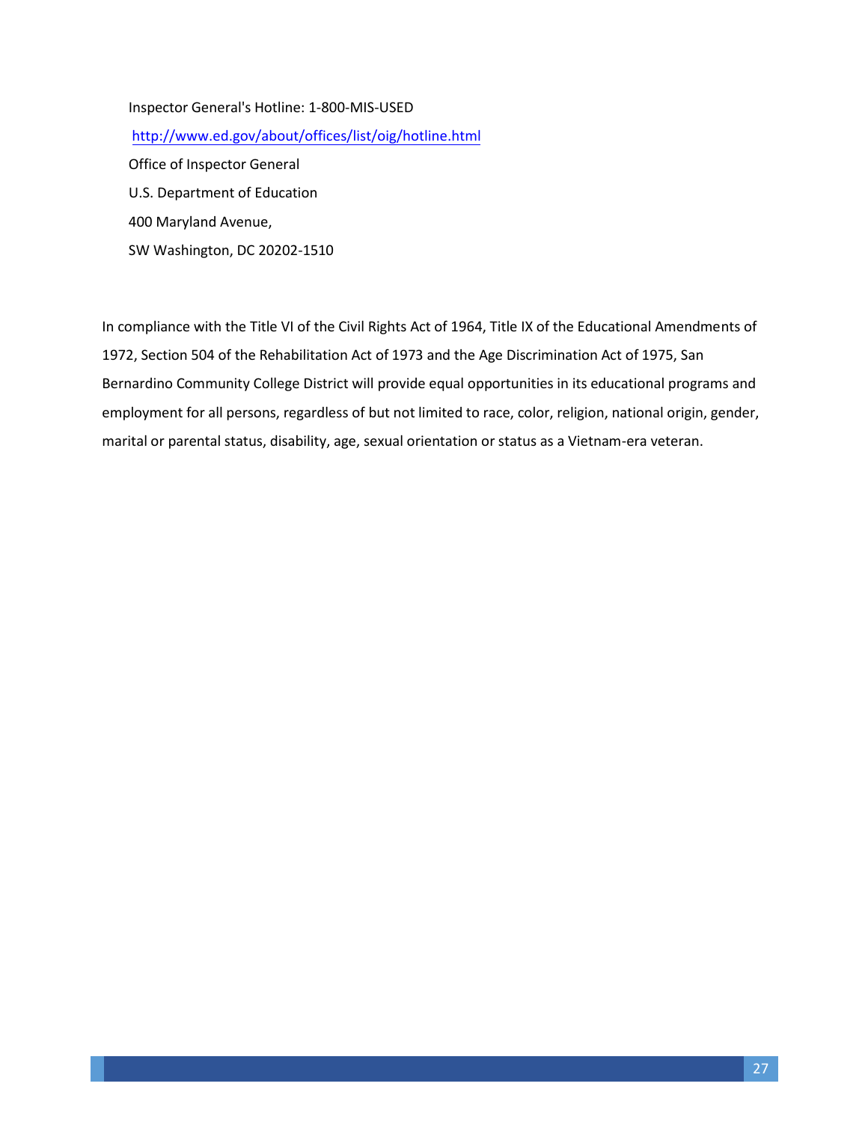Inspector General's Hotline: 1-800-MIS-USED http[://www.ed.gov/about/offices/list/oig/hotline.html](http://www.ed.gov/about/offices/list/oig/hotline.html) Office of Inspector General U.S. Department of Education 400 Maryland Avenue, SW Washington, DC 20202-1510

In compliance with the Title VI of the Civil Rights Act of 1964, Title IX of the Educational Amendments of 1972, Section 504 of the Rehabilitation Act of 1973 and the Age Discrimination Act of 1975, San Bernardino Community College District will provide equal opportunities in its educational programs and employment for all persons, regardless of but not limited to race, color, religion, national origin, gender, marital or parental status, disability, age, sexual orientation or status as a Vietnam-era veteran.